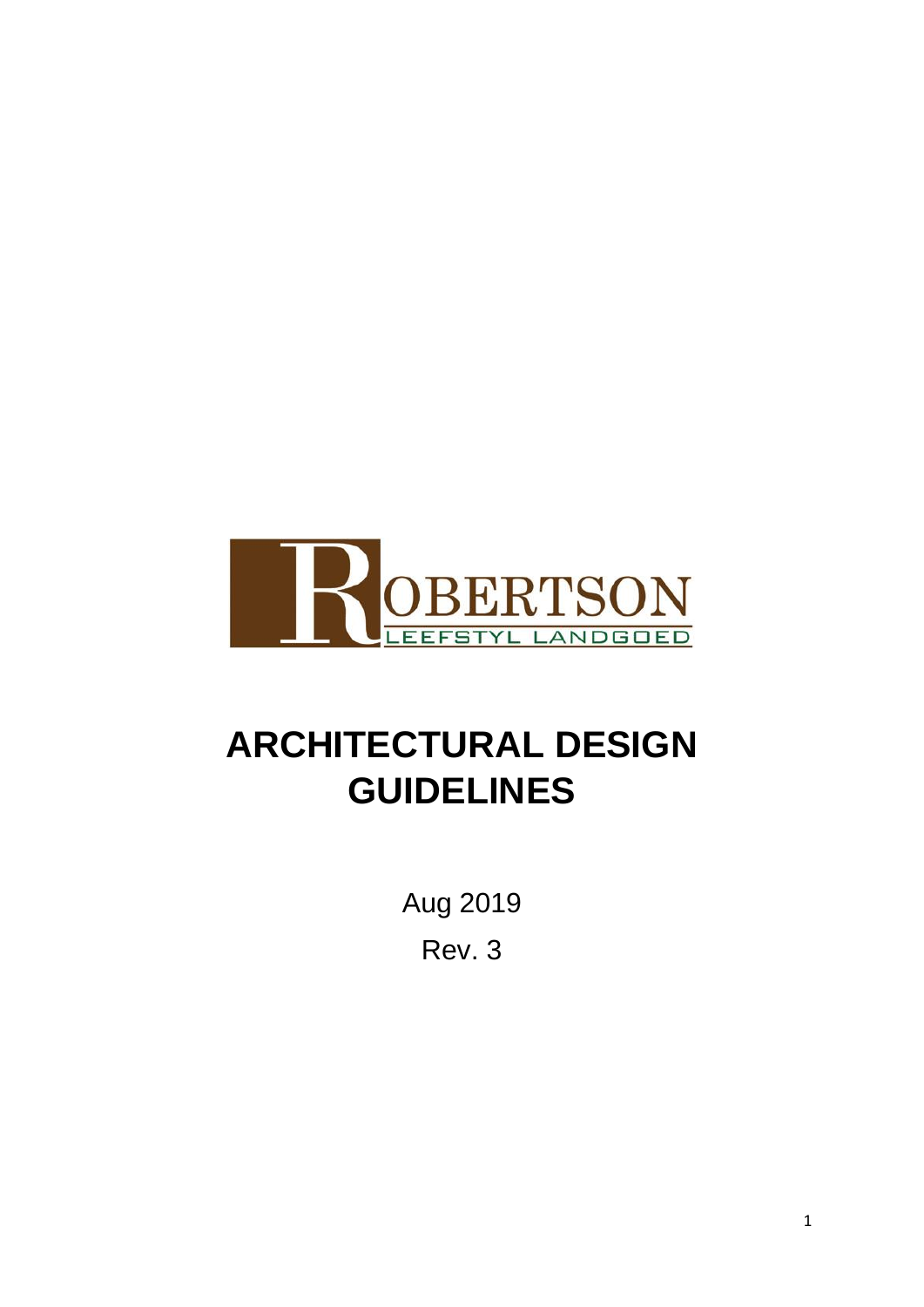

# **ARCHITECTURAL DESIGN GUIDELINES**

Aug 2019 Rev. 3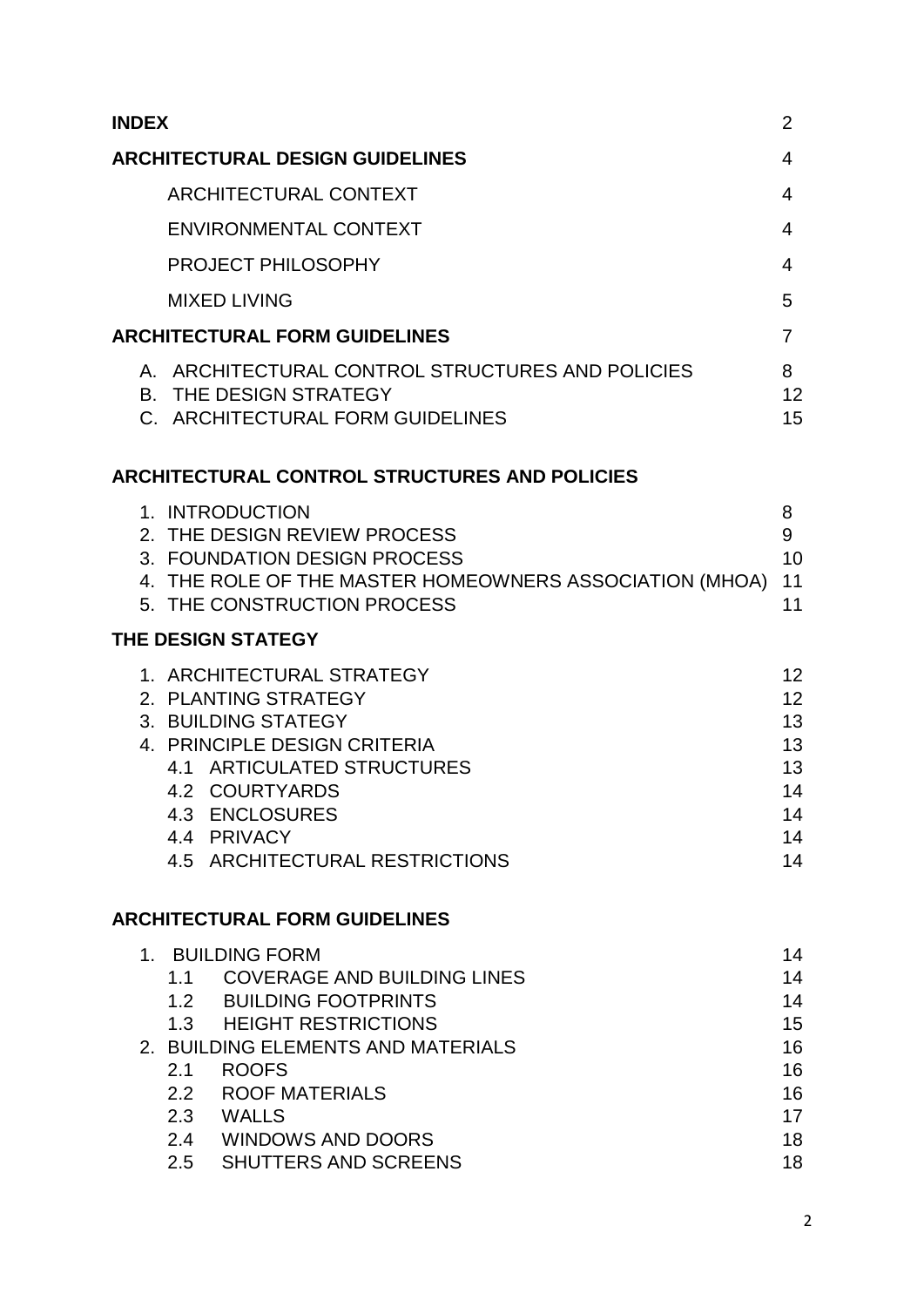| <b>INDEX</b>                                                                                                                                                                                                                                                   | $\overline{2}$                                           |
|----------------------------------------------------------------------------------------------------------------------------------------------------------------------------------------------------------------------------------------------------------------|----------------------------------------------------------|
| <b>ARCHITECTURAL DESIGN GUIDELINES</b>                                                                                                                                                                                                                         | $\overline{4}$                                           |
| <b>ARCHITECTURAL CONTEXT</b>                                                                                                                                                                                                                                   | $\overline{4}$                                           |
| <b>ENVIRONMENTAL CONTEXT</b>                                                                                                                                                                                                                                   | $\overline{4}$                                           |
| PROJECT PHILOSOPHY                                                                                                                                                                                                                                             | $\overline{4}$                                           |
| <b>MIXED LIVING</b>                                                                                                                                                                                                                                            | 5                                                        |
| <b>ARCHITECTURAL FORM GUIDELINES</b>                                                                                                                                                                                                                           | $\overline{7}$                                           |
| A. ARCHITECTURAL CONTROL STRUCTURES AND POLICIES<br><b>B. THE DESIGN STRATEGY</b><br>C. ARCHITECTURAL FORM GUIDELINES                                                                                                                                          | 8<br>12<br>15                                            |
| ARCHITECTURAL CONTROL STRUCTURES AND POLICIES                                                                                                                                                                                                                  |                                                          |
| 1. INTRODUCTION<br>2. THE DESIGN REVIEW PROCESS<br>3. FOUNDATION DESIGN PROCESS<br>4. THE ROLE OF THE MASTER HOMEOWNERS ASSOCIATION (MHOA)<br>5. THE CONSTRUCTION PROCESS                                                                                      | 8<br>9<br>10<br>11<br>11                                 |
| THE DESIGN STATEGY                                                                                                                                                                                                                                             |                                                          |
| 1. ARCHITECTURAL STRATEGY<br>2. PLANTING STRATEGY<br>3. BUILDING STATEGY<br>4. PRINCIPLE DESIGN CRITERIA<br>4.1 ARTICULATED STRUCTURES<br>4.2 COURTYARDS<br>4.3 ENCLOSURES<br>4.4 PRIVACY<br>4.5 ARCHITECTURAL RESTRICTIONS                                    | 12<br>12<br>13<br>13<br>13<br>14<br>14<br>14<br>14       |
| <b>ARCHITECTURAL FORM GUIDELINES</b>                                                                                                                                                                                                                           |                                                          |
| 1. BUILDING FORM<br>1.1 COVERAGE AND BUILDING LINES<br>1.2 BUILDING FOOTPRINTS<br>1.3 HEIGHT RESTRICTIONS<br>2. BUILDING ELEMENTS AND MATERIALS<br><b>ROOFS</b><br>2.1<br>2.2 ROOF MATERIALS<br>2.3 WALLS<br>2.4 WINDOWS AND DOORS<br>2.5 SHUTTERS AND SCREENS | 14<br>14<br>14<br>15<br>16<br>16<br>16<br>17<br>18<br>18 |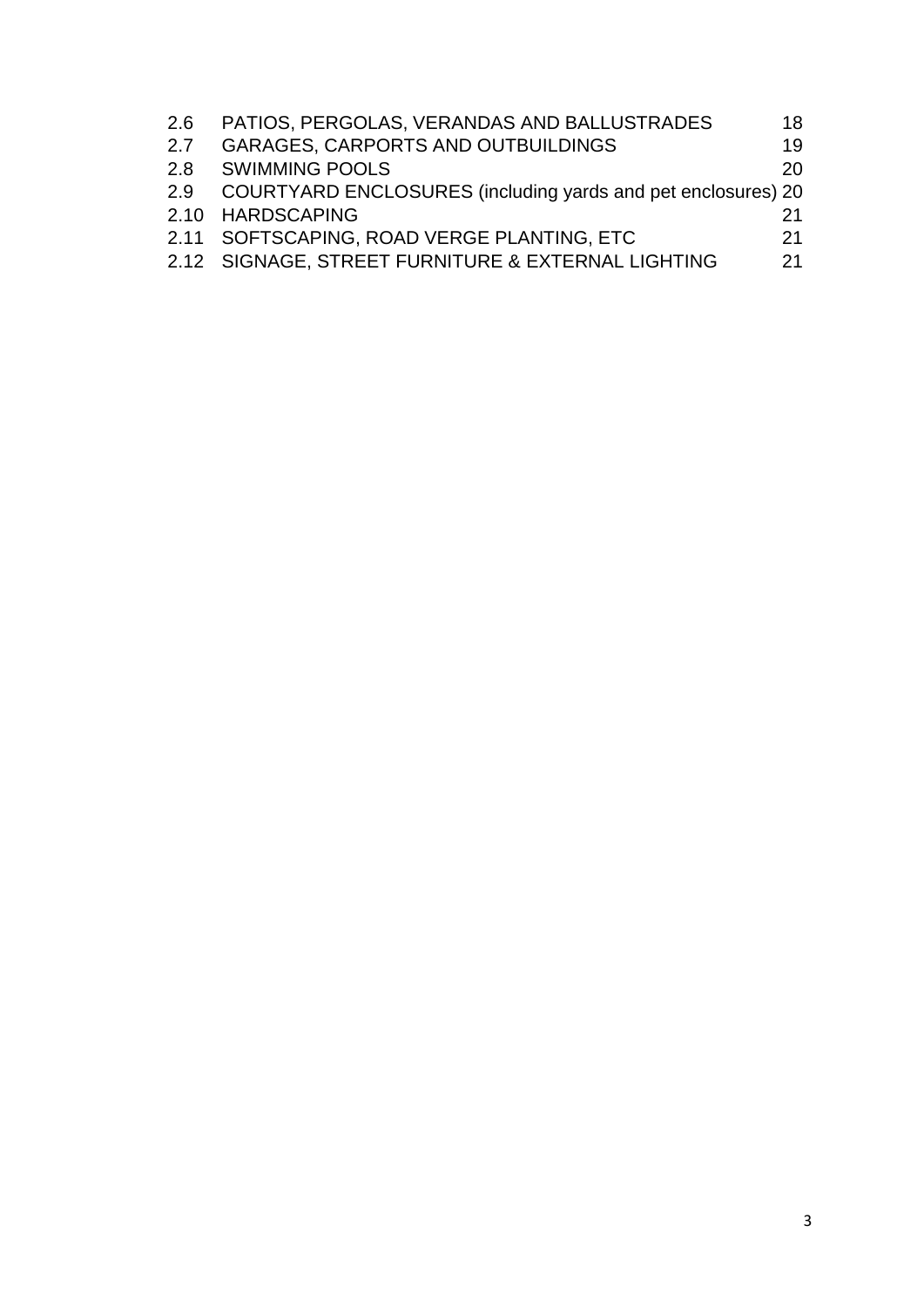| 2.6 | PATIOS, PERGOLAS, VERANDAS AND BALLUSTRADES                  | 18 |
|-----|--------------------------------------------------------------|----|
| 2.7 | <b>GARAGES, CARPORTS AND OUTBUILDINGS</b>                    | 19 |
|     | 2.8 SWIMMING POOLS                                           | 20 |
| 2.9 | COURTYARD ENCLOSURES (including yards and pet enclosures) 20 |    |
|     | 2.10 HARDSCAPING                                             | 21 |
|     | 2.11 SOFTSCAPING, ROAD VERGE PLANTING, ETC                   | 21 |
|     | 2.12 SIGNAGE, STREET FURNITURE & EXTERNAL LIGHTING           | 21 |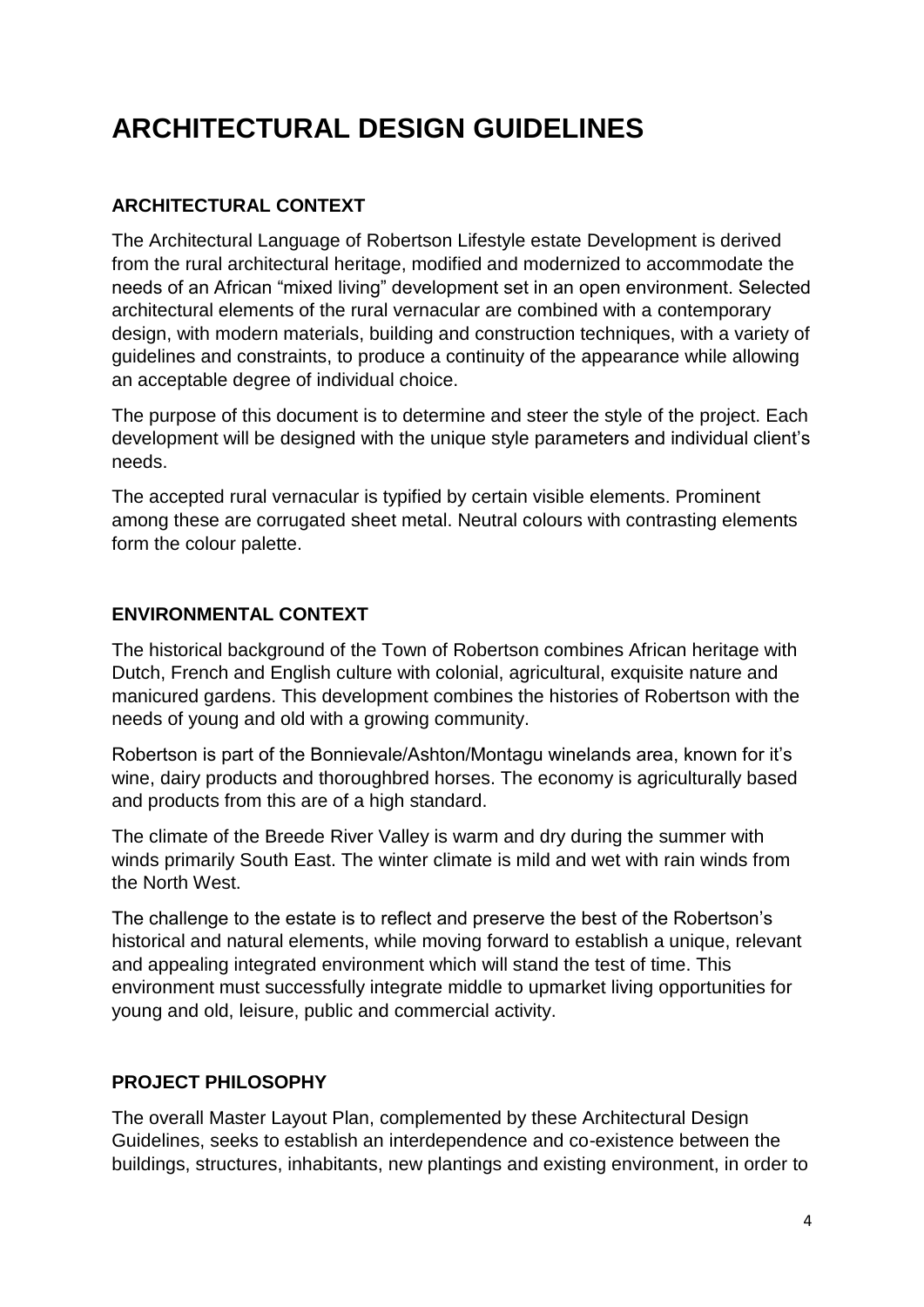# **ARCHITECTURAL DESIGN GUIDELINES**

# **ARCHITECTURAL CONTEXT**

The Architectural Language of Robertson Lifestyle estate Development is derived from the rural architectural heritage, modified and modernized to accommodate the needs of an African "mixed living" development set in an open environment. Selected architectural elements of the rural vernacular are combined with a contemporary design, with modern materials, building and construction techniques, with a variety of guidelines and constraints, to produce a continuity of the appearance while allowing an acceptable degree of individual choice.

The purpose of this document is to determine and steer the style of the project. Each development will be designed with the unique style parameters and individual client's needs.

The accepted rural vernacular is typified by certain visible elements. Prominent among these are corrugated sheet metal. Neutral colours with contrasting elements form the colour palette.

# **ENVIRONMENTAL CONTEXT**

The historical background of the Town of Robertson combines African heritage with Dutch, French and English culture with colonial, agricultural, exquisite nature and manicured gardens. This development combines the histories of Robertson with the needs of young and old with a growing community.

Robertson is part of the Bonnievale/Ashton/Montagu winelands area, known for it's wine, dairy products and thoroughbred horses. The economy is agriculturally based and products from this are of a high standard.

The climate of the Breede River Valley is warm and dry during the summer with winds primarily South East. The winter climate is mild and wet with rain winds from the North West.

The challenge to the estate is to reflect and preserve the best of the Robertson's historical and natural elements, while moving forward to establish a unique, relevant and appealing integrated environment which will stand the test of time. This environment must successfully integrate middle to upmarket living opportunities for young and old, leisure, public and commercial activity.

# **PROJECT PHILOSOPHY**

The overall Master Layout Plan, complemented by these Architectural Design Guidelines, seeks to establish an interdependence and co-existence between the buildings, structures, inhabitants, new plantings and existing environment, in order to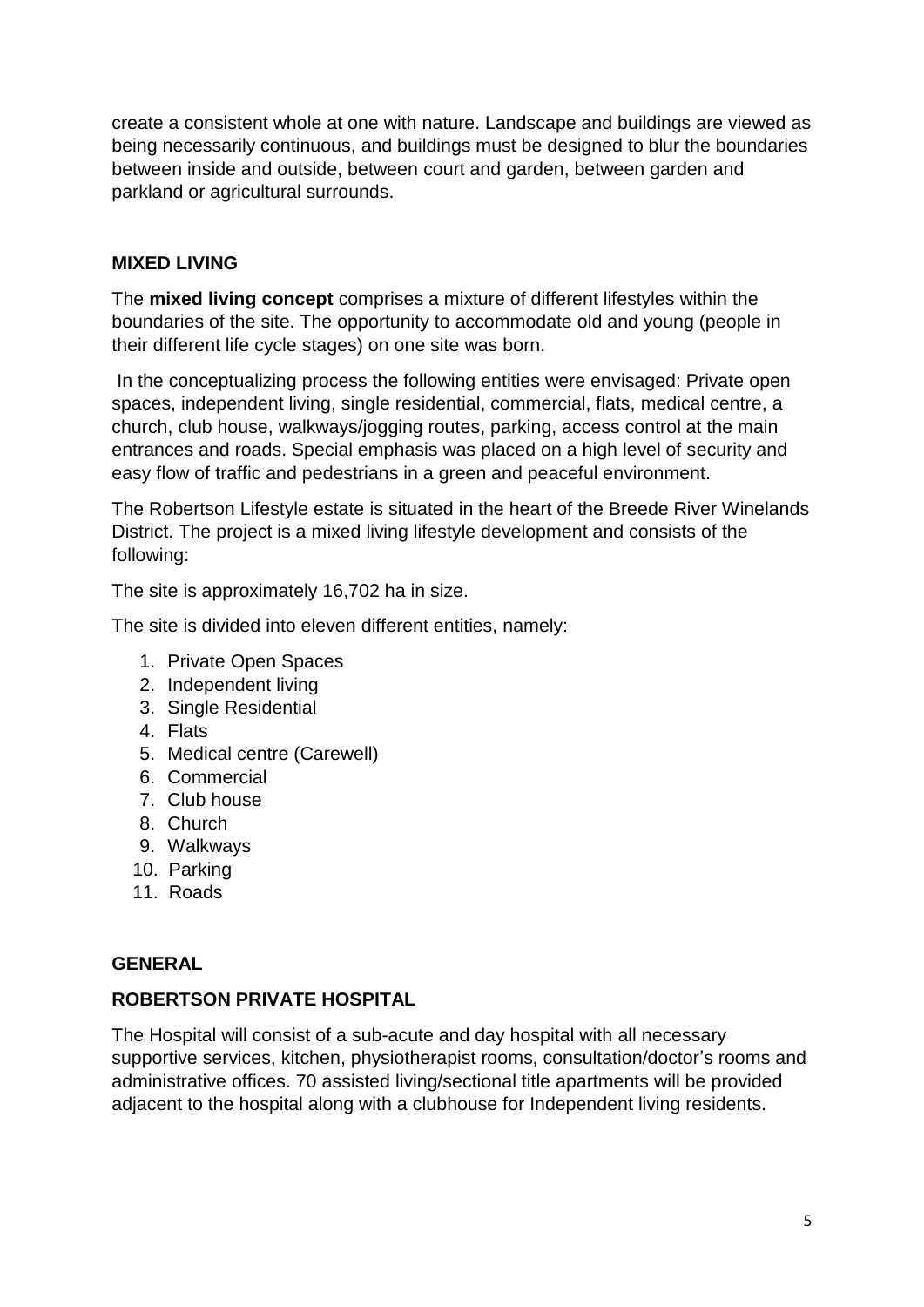create a consistent whole at one with nature. Landscape and buildings are viewed as being necessarily continuous, and buildings must be designed to blur the boundaries between inside and outside, between court and garden, between garden and parkland or agricultural surrounds.

#### **MIXED LIVING**

The **mixed living concept** comprises a mixture of different lifestyles within the boundaries of the site. The opportunity to accommodate old and young (people in their different life cycle stages) on one site was born.

In the conceptualizing process the following entities were envisaged: Private open spaces, independent living, single residential, commercial, flats, medical centre, a church, club house, walkways/jogging routes, parking, access control at the main entrances and roads. Special emphasis was placed on a high level of security and easy flow of traffic and pedestrians in a green and peaceful environment.

The Robertson Lifestyle estate is situated in the heart of the Breede River Winelands District. The project is a mixed living lifestyle development and consists of the following:

The site is approximately 16,702 ha in size.

The site is divided into eleven different entities, namely:

- 1. Private Open Spaces
- 2. Independent living
- 3. Single Residential
- 4. Flats
- 5. Medical centre (Carewell)
- 6. Commercial
- 7. Club house
- 8. Church
- 9. Walkways
- 10. Parking
- 11. Roads

#### **GENERAL**

#### **ROBERTSON PRIVATE HOSPITAL**

The Hospital will consist of a sub-acute and day hospital with all necessary supportive services, kitchen, physiotherapist rooms, consultation/doctor's rooms and administrative offices. 70 assisted living/sectional title apartments will be provided adjacent to the hospital along with a clubhouse for Independent living residents.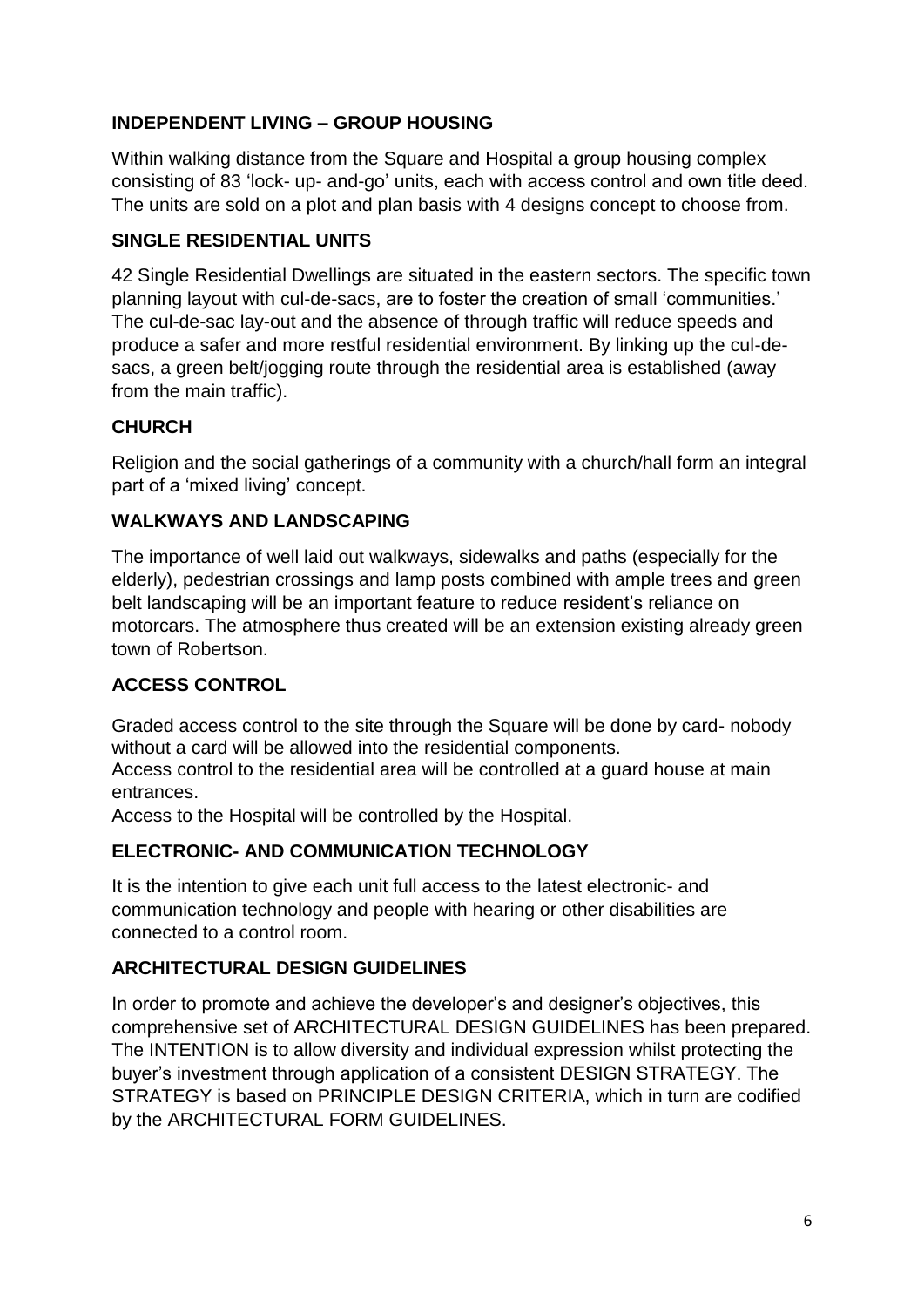# **INDEPENDENT LIVING – GROUP HOUSING**

Within walking distance from the Square and Hospital a group housing complex consisting of 83 'lock- up- and-go' units, each with access control and own title deed. The units are sold on a plot and plan basis with 4 designs concept to choose from.

#### **SINGLE RESIDENTIAL UNITS**

42 Single Residential Dwellings are situated in the eastern sectors. The specific town planning layout with cul-de-sacs, are to foster the creation of small 'communities.' The cul-de-sac lay-out and the absence of through traffic will reduce speeds and produce a safer and more restful residential environment. By linking up the cul-desacs, a green belt/jogging route through the residential area is established (away from the main traffic).

# **CHURCH**

Religion and the social gatherings of a community with a church/hall form an integral part of a 'mixed living' concept.

# **WALKWAYS AND LANDSCAPING**

The importance of well laid out walkways, sidewalks and paths (especially for the elderly), pedestrian crossings and lamp posts combined with ample trees and green belt landscaping will be an important feature to reduce resident's reliance on motorcars. The atmosphere thus created will be an extension existing already green town of Robertson.

# **ACCESS CONTROL**

Graded access control to the site through the Square will be done by card- nobody without a card will be allowed into the residential components.

Access control to the residential area will be controlled at a guard house at main entrances.

Access to the Hospital will be controlled by the Hospital.

#### **ELECTRONIC- AND COMMUNICATION TECHNOLOGY**

It is the intention to give each unit full access to the latest electronic- and communication technology and people with hearing or other disabilities are connected to a control room.

# **ARCHITECTURAL DESIGN GUIDELINES**

In order to promote and achieve the developer's and designer's objectives, this comprehensive set of ARCHITECTURAL DESIGN GUIDELINES has been prepared. The INTENTION is to allow diversity and individual expression whilst protecting the buyer's investment through application of a consistent DESIGN STRATEGY. The STRATEGY is based on PRINCIPLE DESIGN CRITERIA, which in turn are codified by the ARCHITECTURAL FORM GUIDELINES.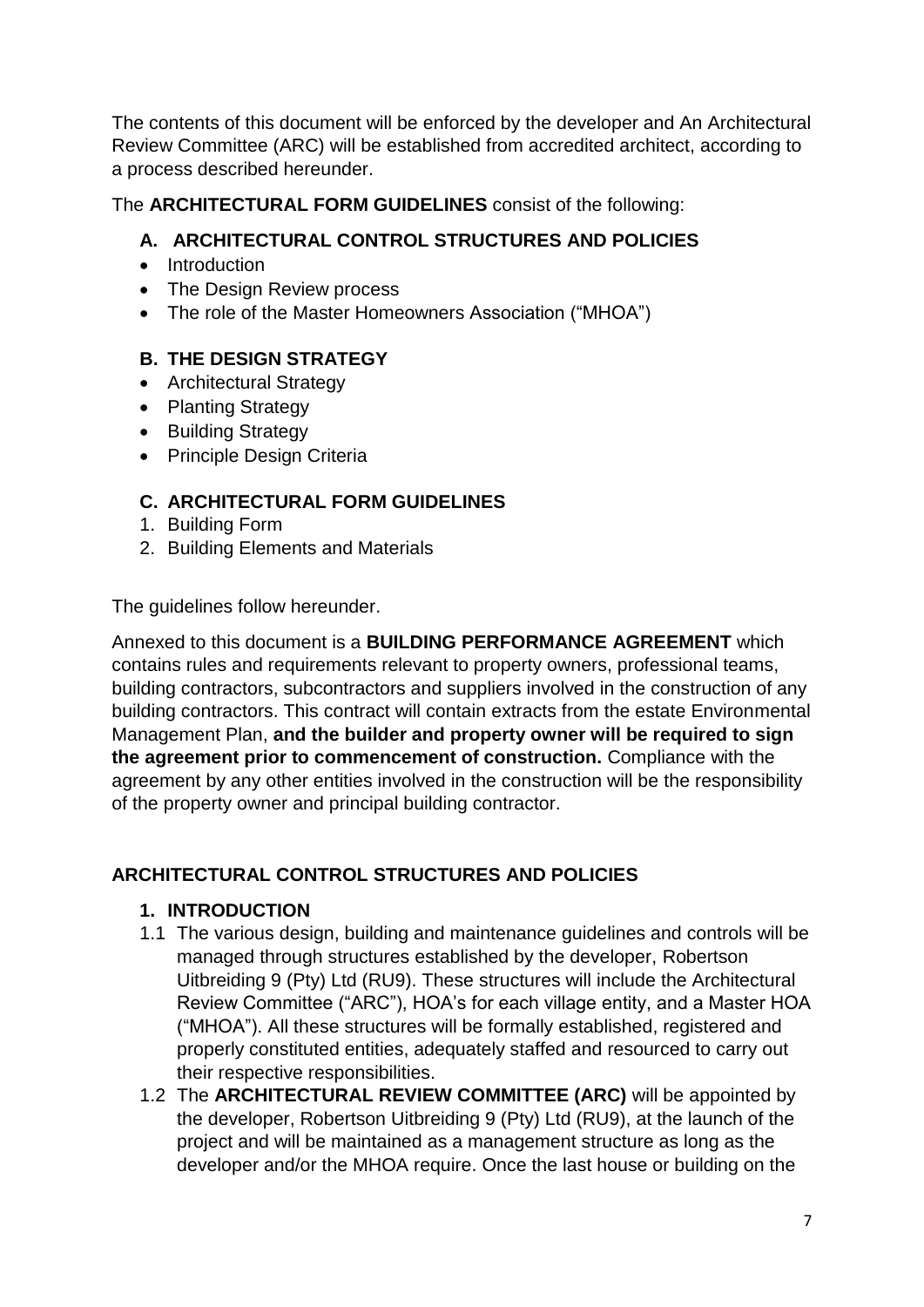The contents of this document will be enforced by the developer and An Architectural Review Committee (ARC) will be established from accredited architect, according to a process described hereunder.

The **ARCHITECTURAL FORM GUIDELINES** consist of the following:

# **A. ARCHITECTURAL CONTROL STRUCTURES AND POLICIES**

- Introduction
- The Design Review process
- The role of the Master Homeowners Association ("MHOA")

# **B. THE DESIGN STRATEGY**

- Architectural Strategy
- Planting Strategy
- Building Strategy
- Principle Design Criteria

# **C. ARCHITECTURAL FORM GUIDELINES**

- 1. Building Form
- 2. Building Elements and Materials

The guidelines follow hereunder.

Annexed to this document is a **BUILDING PERFORMANCE AGREEMENT** which contains rules and requirements relevant to property owners, professional teams, building contractors, subcontractors and suppliers involved in the construction of any building contractors. This contract will contain extracts from the estate Environmental Management Plan, **and the builder and property owner will be required to sign the agreement prior to commencement of construction.** Compliance with the agreement by any other entities involved in the construction will be the responsibility of the property owner and principal building contractor.

# **ARCHITECTURAL CONTROL STRUCTURES AND POLICIES**

# **1. INTRODUCTION**

- 1.1 The various design, building and maintenance guidelines and controls will be managed through structures established by the developer, Robertson Uitbreiding 9 (Pty) Ltd (RU9). These structures will include the Architectural Review Committee ("ARC"), HOA's for each village entity, and a Master HOA ("MHOA"). All these structures will be formally established, registered and properly constituted entities, adequately staffed and resourced to carry out their respective responsibilities.
- 1.2 The **ARCHITECTURAL REVIEW COMMITTEE (ARC)** will be appointed by the developer, Robertson Uitbreiding 9 (Pty) Ltd (RU9), at the launch of the project and will be maintained as a management structure as long as the developer and/or the MHOA require. Once the last house or building on the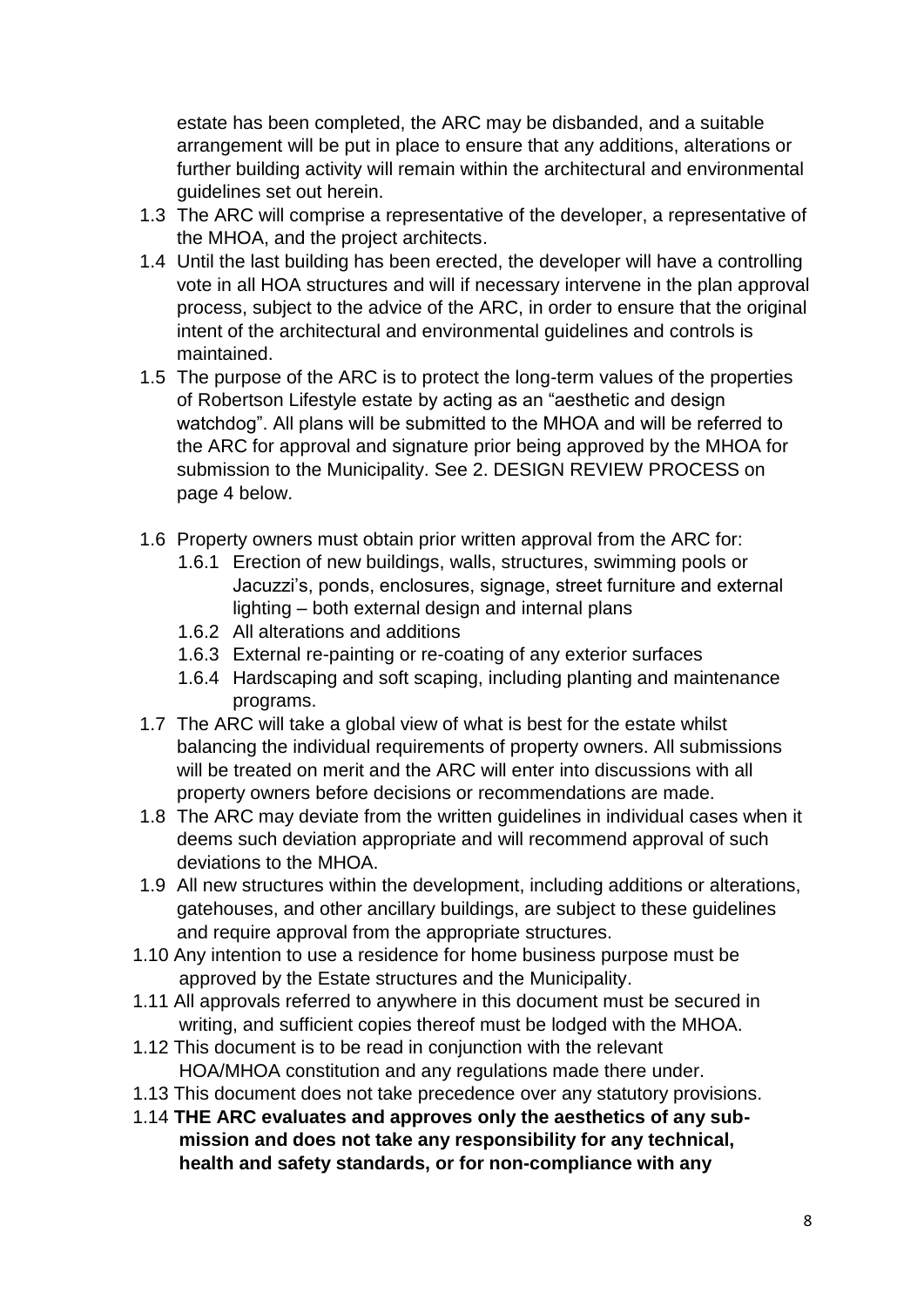estate has been completed, the ARC may be disbanded, and a suitable arrangement will be put in place to ensure that any additions, alterations or further building activity will remain within the architectural and environmental guidelines set out herein.

- 1.3 The ARC will comprise a representative of the developer, a representative of the MHOA, and the project architects.
- 1.4 Until the last building has been erected, the developer will have a controlling vote in all HOA structures and will if necessary intervene in the plan approval process, subject to the advice of the ARC, in order to ensure that the original intent of the architectural and environmental guidelines and controls is maintained.
- 1.5 The purpose of the ARC is to protect the long-term values of the properties of Robertson Lifestyle estate by acting as an "aesthetic and design watchdog". All plans will be submitted to the MHOA and will be referred to the ARC for approval and signature prior being approved by the MHOA for submission to the Municipality. See 2. DESIGN REVIEW PROCESS on page 4 below.
- 1.6 Property owners must obtain prior written approval from the ARC for:
	- 1.6.1 Erection of new buildings, walls, structures, swimming pools or Jacuzzi's, ponds, enclosures, signage, street furniture and external lighting – both external design and internal plans
	- 1.6.2 All alterations and additions
	- 1.6.3 External re-painting or re-coating of any exterior surfaces
	- 1.6.4 Hardscaping and soft scaping, including planting and maintenance programs.
- 1.7 The ARC will take a global view of what is best for the estate whilst balancing the individual requirements of property owners. All submissions will be treated on merit and the ARC will enter into discussions with all property owners before decisions or recommendations are made.
- 1.8 The ARC may deviate from the written guidelines in individual cases when it deems such deviation appropriate and will recommend approval of such deviations to the MHOA.
- 1.9 All new structures within the development, including additions or alterations, gatehouses, and other ancillary buildings, are subject to these guidelines and require approval from the appropriate structures.
- 1.10 Any intention to use a residence for home business purpose must be approved by the Estate structures and the Municipality.
- 1.11 All approvals referred to anywhere in this document must be secured in writing, and sufficient copies thereof must be lodged with the MHOA.
- 1.12 This document is to be read in conjunction with the relevant HOA/MHOA constitution and any regulations made there under.
- 1.13 This document does not take precedence over any statutory provisions.
- 1.14 **THE ARC evaluates and approves only the aesthetics of any sub mission and does not take any responsibility for any technical, health and safety standards, or for non-compliance with any**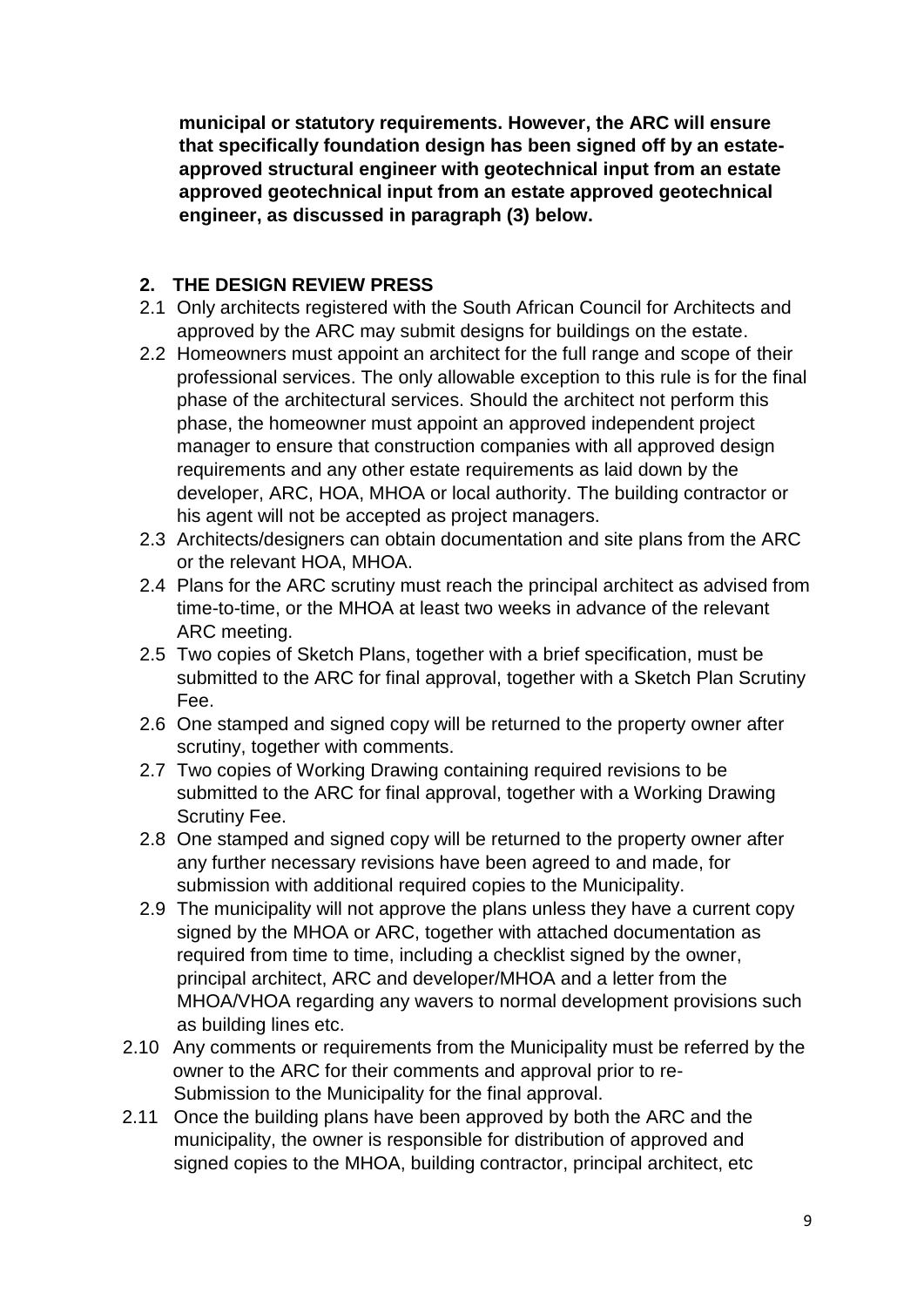**municipal or statutory requirements. However, the ARC will ensure that specifically foundation design has been signed off by an estate approved structural engineer with geotechnical input from an estate approved geotechnical input from an estate approved geotechnical engineer, as discussed in paragraph (3) below.**

#### **2. THE DESIGN REVIEW PRESS**

- 2.1 Only architects registered with the South African Council for Architects and approved by the ARC may submit designs for buildings on the estate.
- 2.2 Homeowners must appoint an architect for the full range and scope of their professional services. The only allowable exception to this rule is for the final phase of the architectural services. Should the architect not perform this phase, the homeowner must appoint an approved independent project manager to ensure that construction companies with all approved design requirements and any other estate requirements as laid down by the developer, ARC, HOA, MHOA or local authority. The building contractor or his agent will not be accepted as project managers.
- 2.3 Architects/designers can obtain documentation and site plans from the ARC or the relevant HOA, MHOA.
- 2.4 Plans for the ARC scrutiny must reach the principal architect as advised from time-to-time, or the MHOA at least two weeks in advance of the relevant ARC meeting.
- 2.5 Two copies of Sketch Plans, together with a brief specification, must be submitted to the ARC for final approval, together with a Sketch Plan Scrutiny Fee.
- 2.6 One stamped and signed copy will be returned to the property owner after scrutiny, together with comments.
- 2.7 Two copies of Working Drawing containing required revisions to be submitted to the ARC for final approval, together with a Working Drawing Scrutiny Fee.
- 2.8 One stamped and signed copy will be returned to the property owner after any further necessary revisions have been agreed to and made, for submission with additional required copies to the Municipality.
- 2.9 The municipality will not approve the plans unless they have a current copy signed by the MHOA or ARC, together with attached documentation as required from time to time, including a checklist signed by the owner, principal architect, ARC and developer/MHOA and a letter from the MHOA/VHOA regarding any wavers to normal development provisions such as building lines etc.
- 2.10 Any comments or requirements from the Municipality must be referred by the owner to the ARC for their comments and approval prior to re- Submission to the Municipality for the final approval.
- 2.11 Once the building plans have been approved by both the ARC and the municipality, the owner is responsible for distribution of approved and signed copies to the MHOA, building contractor, principal architect, etc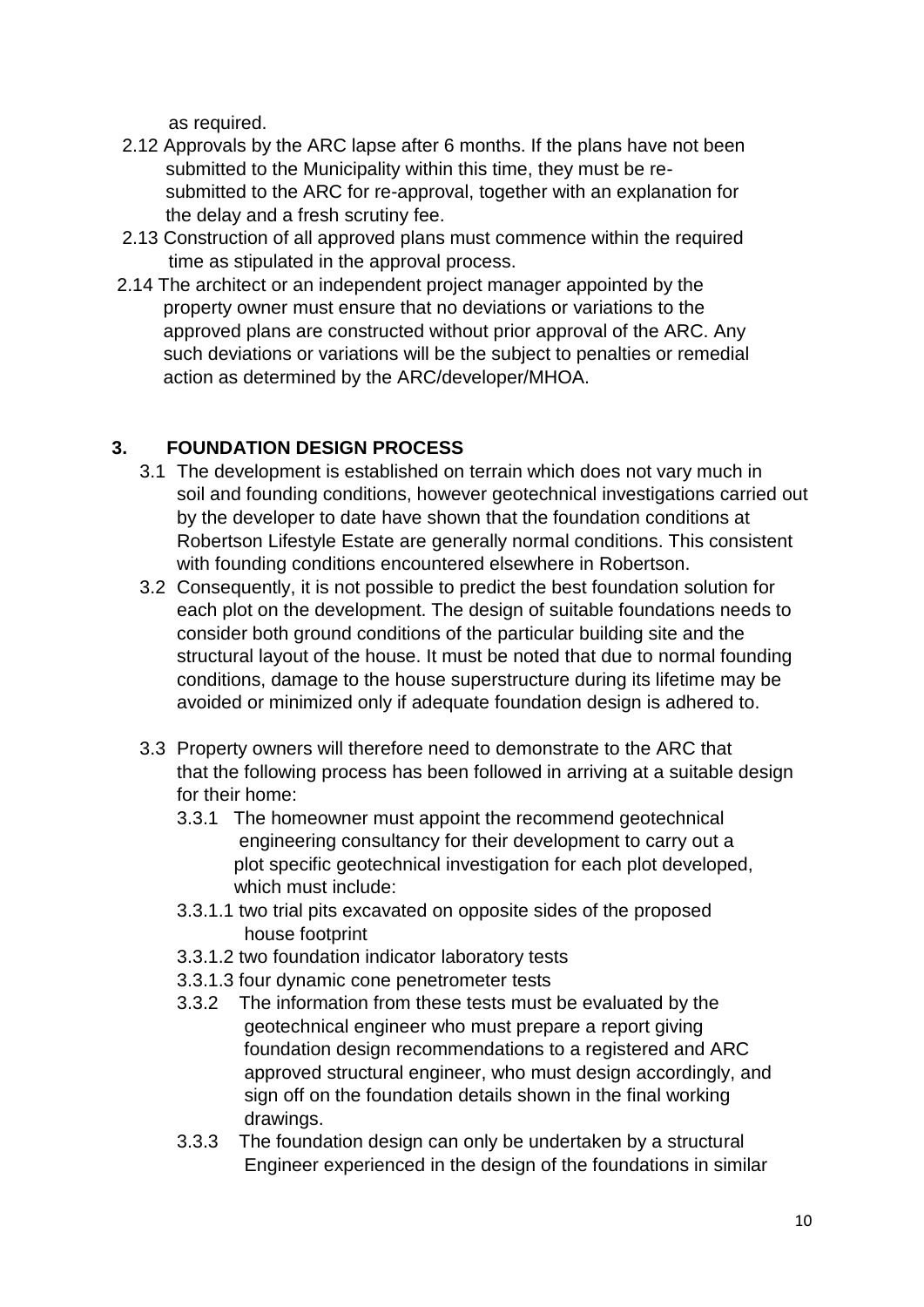as required.

- 2.12 Approvals by the ARC lapse after 6 months. If the plans have not been submitted to the Municipality within this time, they must be re submitted to the ARC for re-approval, together with an explanation for the delay and a fresh scrutiny fee.
- 2.13 Construction of all approved plans must commence within the required time as stipulated in the approval process.
- 2.14 The architect or an independent project manager appointed by the property owner must ensure that no deviations or variations to the approved plans are constructed without prior approval of the ARC. Any such deviations or variations will be the subject to penalties or remedial action as determined by the ARC/developer/MHOA.

# **3. FOUNDATION DESIGN PROCESS**

- 3.1 The development is established on terrain which does not vary much in soil and founding conditions, however geotechnical investigations carried out by the developer to date have shown that the foundation conditions at Robertson Lifestyle Estate are generally normal conditions. This consistent with founding conditions encountered elsewhere in Robertson.
- 3.2 Consequently, it is not possible to predict the best foundation solution for each plot on the development. The design of suitable foundations needs to consider both ground conditions of the particular building site and the structural layout of the house. It must be noted that due to normal founding conditions, damage to the house superstructure during its lifetime may be avoided or minimized only if adequate foundation design is adhered to.
- 3.3 Property owners will therefore need to demonstrate to the ARC that that the following process has been followed in arriving at a suitable design for their home:
	- 3.3.1 The homeowner must appoint the recommend geotechnical engineering consultancy for their development to carry out a plot specific geotechnical investigation for each plot developed, which must include:
	- 3.3.1.1 two trial pits excavated on opposite sides of the proposed house footprint
	- 3.3.1.2 two foundation indicator laboratory tests
	- 3.3.1.3 four dynamic cone penetrometer tests
	- 3.3.2 The information from these tests must be evaluated by the geotechnical engineer who must prepare a report giving foundation design recommendations to a registered and ARC approved structural engineer, who must design accordingly, and sign off on the foundation details shown in the final working drawings.
	- 3.3.3 The foundation design can only be undertaken by a structural Engineer experienced in the design of the foundations in similar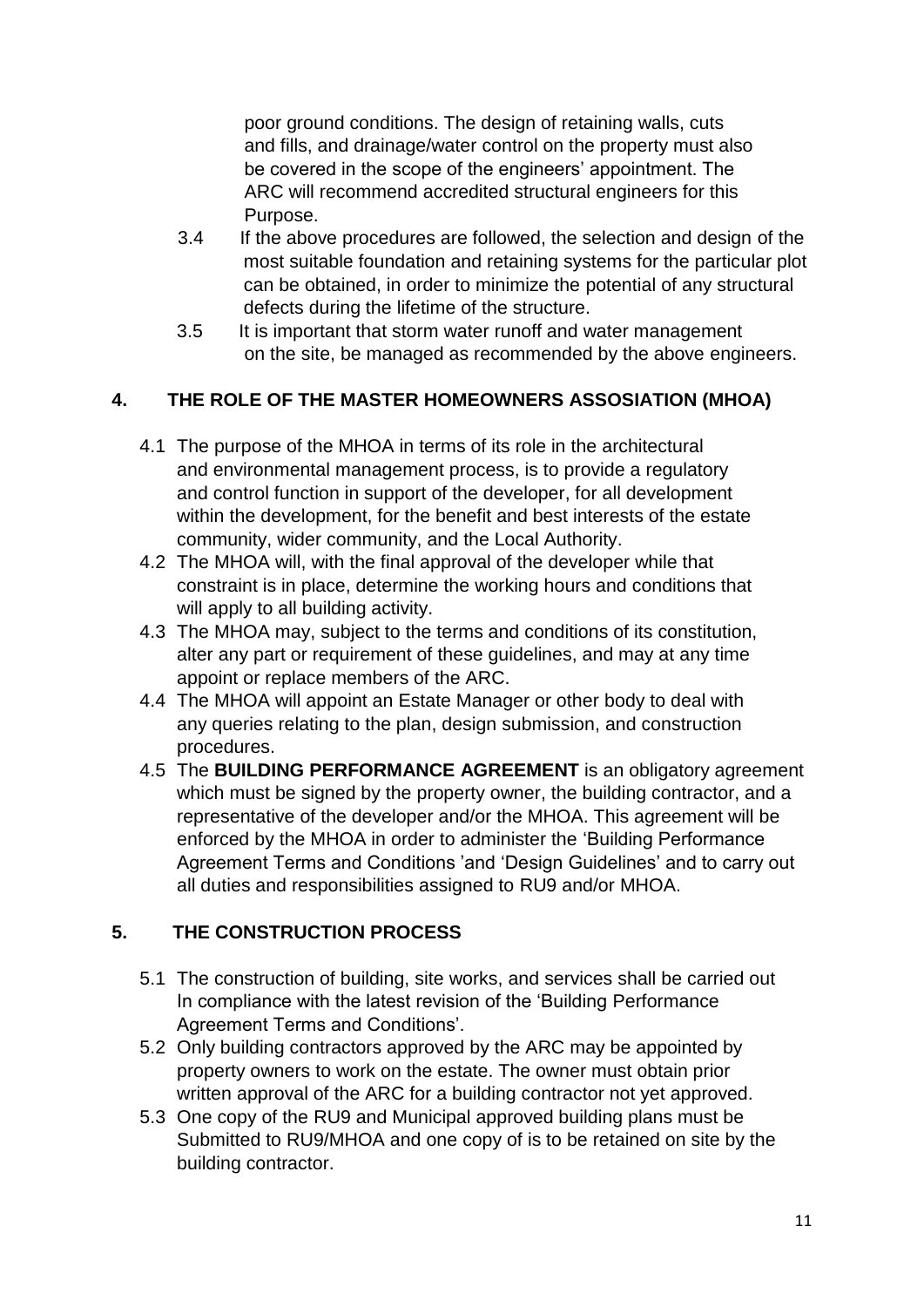poor ground conditions. The design of retaining walls, cuts and fills, and drainage/water control on the property must also be covered in the scope of the engineers' appointment. The ARC will recommend accredited structural engineers for this Purpose.

- 3.4 If the above procedures are followed, the selection and design of the most suitable foundation and retaining systems for the particular plot can be obtained, in order to minimize the potential of any structural defects during the lifetime of the structure.
- 3.5 It is important that storm water runoff and water management on the site, be managed as recommended by the above engineers.

# **4. THE ROLE OF THE MASTER HOMEOWNERS ASSOSIATION (MHOA)**

- 4.1 The purpose of the MHOA in terms of its role in the architectural and environmental management process, is to provide a regulatory and control function in support of the developer, for all development within the development, for the benefit and best interests of the estate community, wider community, and the Local Authority.
- 4.2 The MHOA will, with the final approval of the developer while that constraint is in place, determine the working hours and conditions that will apply to all building activity.
- 4.3 The MHOA may, subject to the terms and conditions of its constitution, alter any part or requirement of these guidelines, and may at any time appoint or replace members of the ARC.
- 4.4 The MHOA will appoint an Estate Manager or other body to deal with any queries relating to the plan, design submission, and construction procedures.
- 4.5 The **BUILDING PERFORMANCE AGREEMENT** is an obligatory agreement which must be signed by the property owner, the building contractor, and a representative of the developer and/or the MHOA. This agreement will be enforced by the MHOA in order to administer the 'Building Performance Agreement Terms and Conditions 'and 'Design Guidelines' and to carry out all duties and responsibilities assigned to RU9 and/or MHOA.

#### **5. THE CONSTRUCTION PROCESS**

- 5.1 The construction of building, site works, and services shall be carried out In compliance with the latest revision of the 'Building Performance Agreement Terms and Conditions'.
- 5.2 Only building contractors approved by the ARC may be appointed by property owners to work on the estate. The owner must obtain prior written approval of the ARC for a building contractor not yet approved.
- 5.3 One copy of the RU9 and Municipal approved building plans must be Submitted to RU9/MHOA and one copy of is to be retained on site by the building contractor.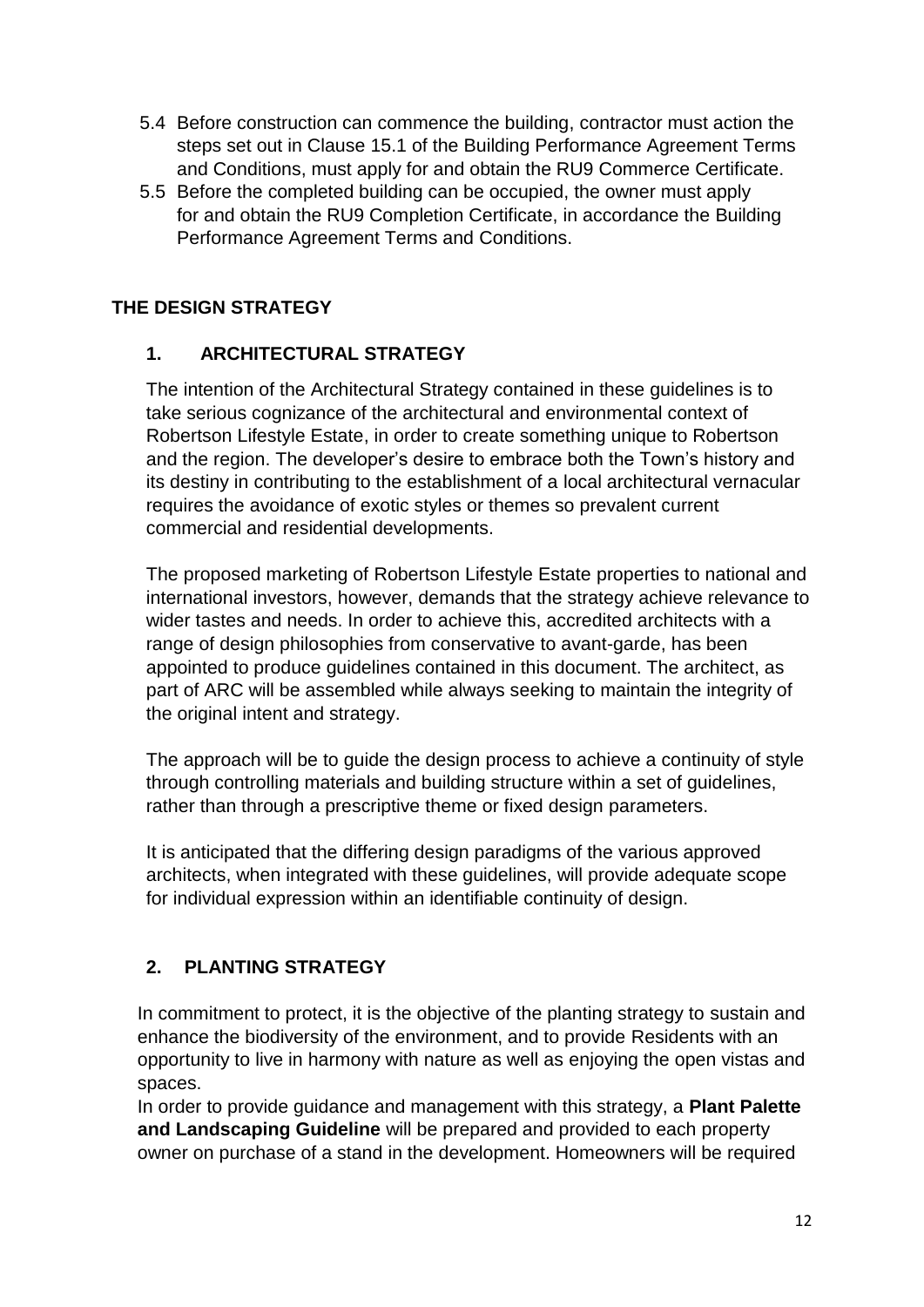- 5.4 Before construction can commence the building, contractor must action the steps set out in Clause 15.1 of the Building Performance Agreement Terms and Conditions, must apply for and obtain the RU9 Commerce Certificate.
- 5.5 Before the completed building can be occupied, the owner must apply for and obtain the RU9 Completion Certificate, in accordance the Building Performance Agreement Terms and Conditions.

# **THE DESIGN STRATEGY**

#### **1. ARCHITECTURAL STRATEGY**

The intention of the Architectural Strategy contained in these guidelines is to take serious cognizance of the architectural and environmental context of Robertson Lifestyle Estate, in order to create something unique to Robertson and the region. The developer's desire to embrace both the Town's history and its destiny in contributing to the establishment of a local architectural vernacular requires the avoidance of exotic styles or themes so prevalent current commercial and residential developments.

The proposed marketing of Robertson Lifestyle Estate properties to national and international investors, however, demands that the strategy achieve relevance to wider tastes and needs. In order to achieve this, accredited architects with a range of design philosophies from conservative to avant-garde, has been appointed to produce guidelines contained in this document. The architect, as part of ARC will be assembled while always seeking to maintain the integrity of the original intent and strategy.

The approach will be to guide the design process to achieve a continuity of style through controlling materials and building structure within a set of guidelines, rather than through a prescriptive theme or fixed design parameters.

It is anticipated that the differing design paradigms of the various approved architects, when integrated with these guidelines, will provide adequate scope for individual expression within an identifiable continuity of design.

# **2. PLANTING STRATEGY**

In commitment to protect, it is the objective of the planting strategy to sustain and enhance the biodiversity of the environment, and to provide Residents with an opportunity to live in harmony with nature as well as enjoying the open vistas and spaces.

In order to provide guidance and management with this strategy, a **Plant Palette and Landscaping Guideline** will be prepared and provided to each property owner on purchase of a stand in the development. Homeowners will be required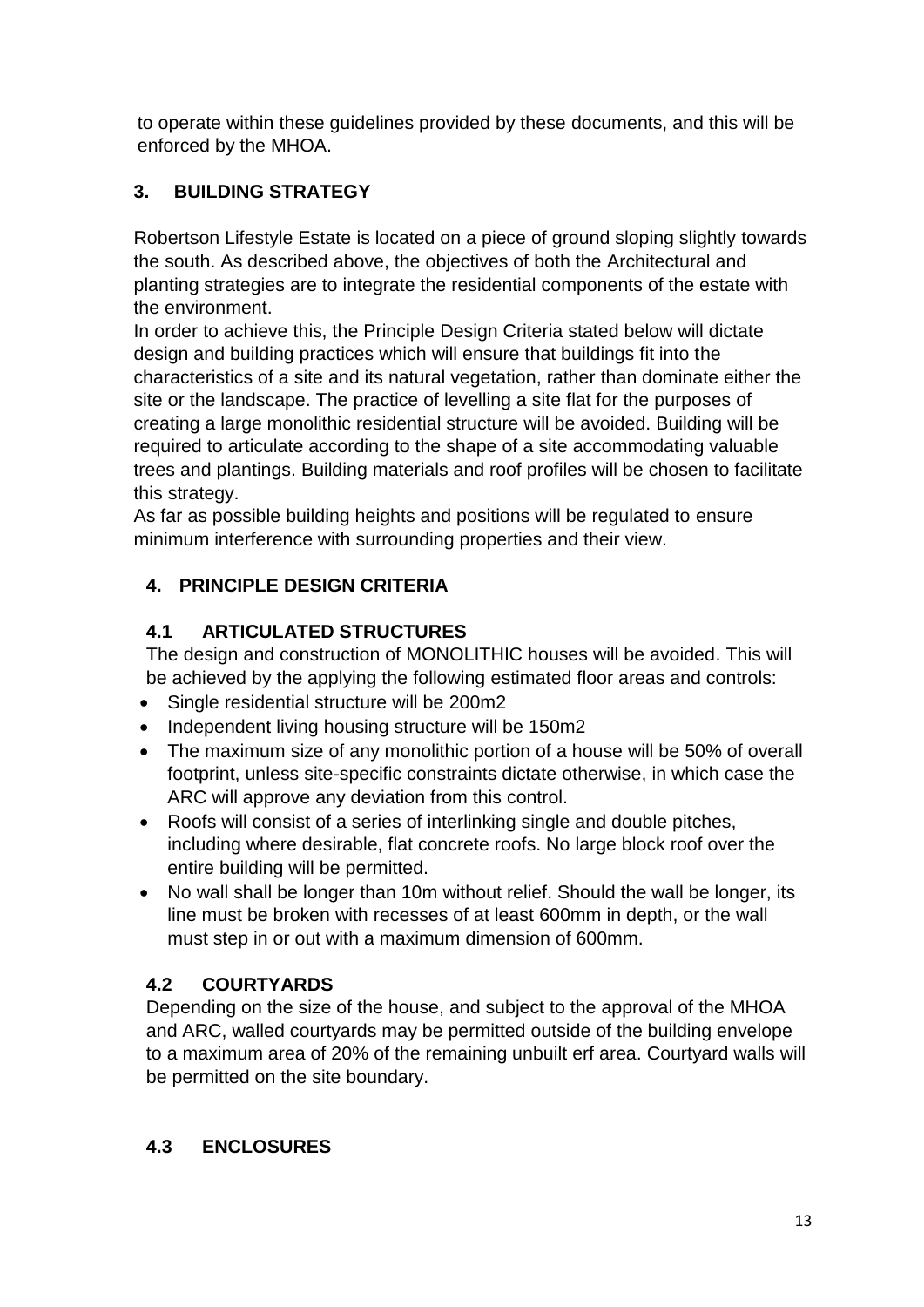to operate within these guidelines provided by these documents, and this will be enforced by the MHOA.

# **3. BUILDING STRATEGY**

Robertson Lifestyle Estate is located on a piece of ground sloping slightly towards the south. As described above, the objectives of both the Architectural and planting strategies are to integrate the residential components of the estate with the environment.

In order to achieve this, the Principle Design Criteria stated below will dictate design and building practices which will ensure that buildings fit into the characteristics of a site and its natural vegetation, rather than dominate either the site or the landscape. The practice of levelling a site flat for the purposes of creating a large monolithic residential structure will be avoided. Building will be required to articulate according to the shape of a site accommodating valuable trees and plantings. Building materials and roof profiles will be chosen to facilitate this strategy.

As far as possible building heights and positions will be regulated to ensure minimum interference with surrounding properties and their view.

# **4. PRINCIPLE DESIGN CRITERIA**

# **4.1 ARTICULATED STRUCTURES**

The design and construction of MONOLITHIC houses will be avoided. This will be achieved by the applying the following estimated floor areas and controls:

- Single residential structure will be 200m2
- Independent living housing structure will be 150m2
- The maximum size of any monolithic portion of a house will be 50% of overall footprint, unless site-specific constraints dictate otherwise, in which case the ARC will approve any deviation from this control.
- Roofs will consist of a series of interlinking single and double pitches, including where desirable, flat concrete roofs. No large block roof over the entire building will be permitted.
- No wall shall be longer than 10m without relief. Should the wall be longer, its line must be broken with recesses of at least 600mm in depth, or the wall must step in or out with a maximum dimension of 600mm.

# **4.2 COURTYARDS**

Depending on the size of the house, and subject to the approval of the MHOA and ARC, walled courtyards may be permitted outside of the building envelope to a maximum area of 20% of the remaining unbuilt erf area. Courtyard walls will be permitted on the site boundary.

# **4.3 ENCLOSURES**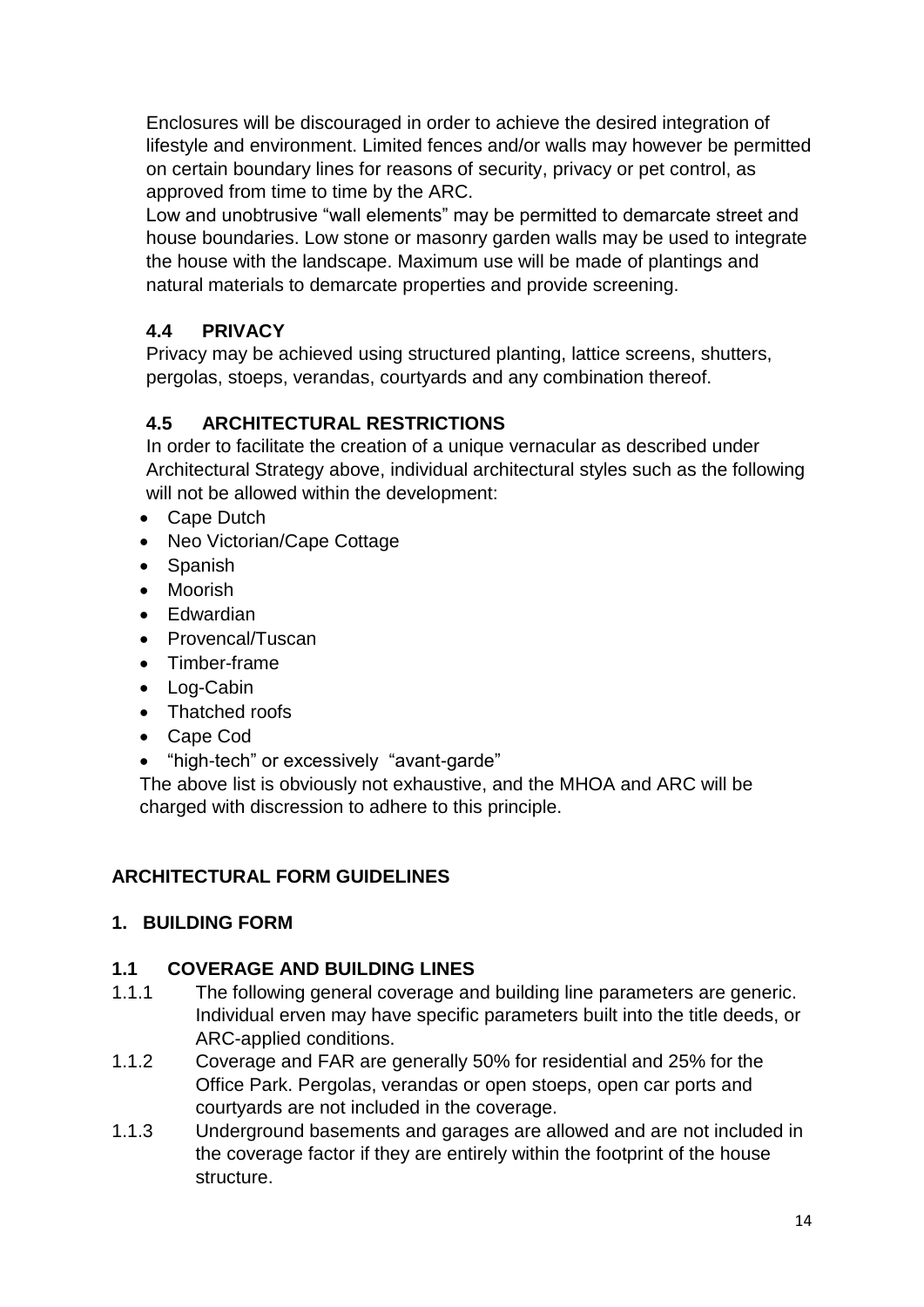Enclosures will be discouraged in order to achieve the desired integration of lifestyle and environment. Limited fences and/or walls may however be permitted on certain boundary lines for reasons of security, privacy or pet control, as approved from time to time by the ARC.

Low and unobtrusive "wall elements" may be permitted to demarcate street and house boundaries. Low stone or masonry garden walls may be used to integrate the house with the landscape. Maximum use will be made of plantings and natural materials to demarcate properties and provide screening.

# **4.4 PRIVACY**

Privacy may be achieved using structured planting, lattice screens, shutters, pergolas, stoeps, verandas, courtyards and any combination thereof.

# **4.5 ARCHITECTURAL RESTRICTIONS**

In order to facilitate the creation of a unique vernacular as described under Architectural Strategy above, individual architectural styles such as the following will not be allowed within the development:

- Cape Dutch
- Neo Victorian/Cape Cottage
- Spanish
- Moorish
- Edwardian
- Provencal/Tuscan
- Timber-frame
- Log-Cabin
- Thatched roofs
- Cape Cod
- "high-tech" or excessively "avant-garde"

The above list is obviously not exhaustive, and the MHOA and ARC will be charged with discression to adhere to this principle.

# **ARCHITECTURAL FORM GUIDELINES**

# **1. BUILDING FORM**

# **1.1 COVERAGE AND BUILDING LINES**

- 1.1.1 The following general coverage and building line parameters are generic. Individual erven may have specific parameters built into the title deeds, or ARC-applied conditions.
- 1.1.2 Coverage and FAR are generally 50% for residential and 25% for the Office Park. Pergolas, verandas or open stoeps, open car ports and courtyards are not included in the coverage.
- 1.1.3 Underground basements and garages are allowed and are not included in the coverage factor if they are entirely within the footprint of the house structure.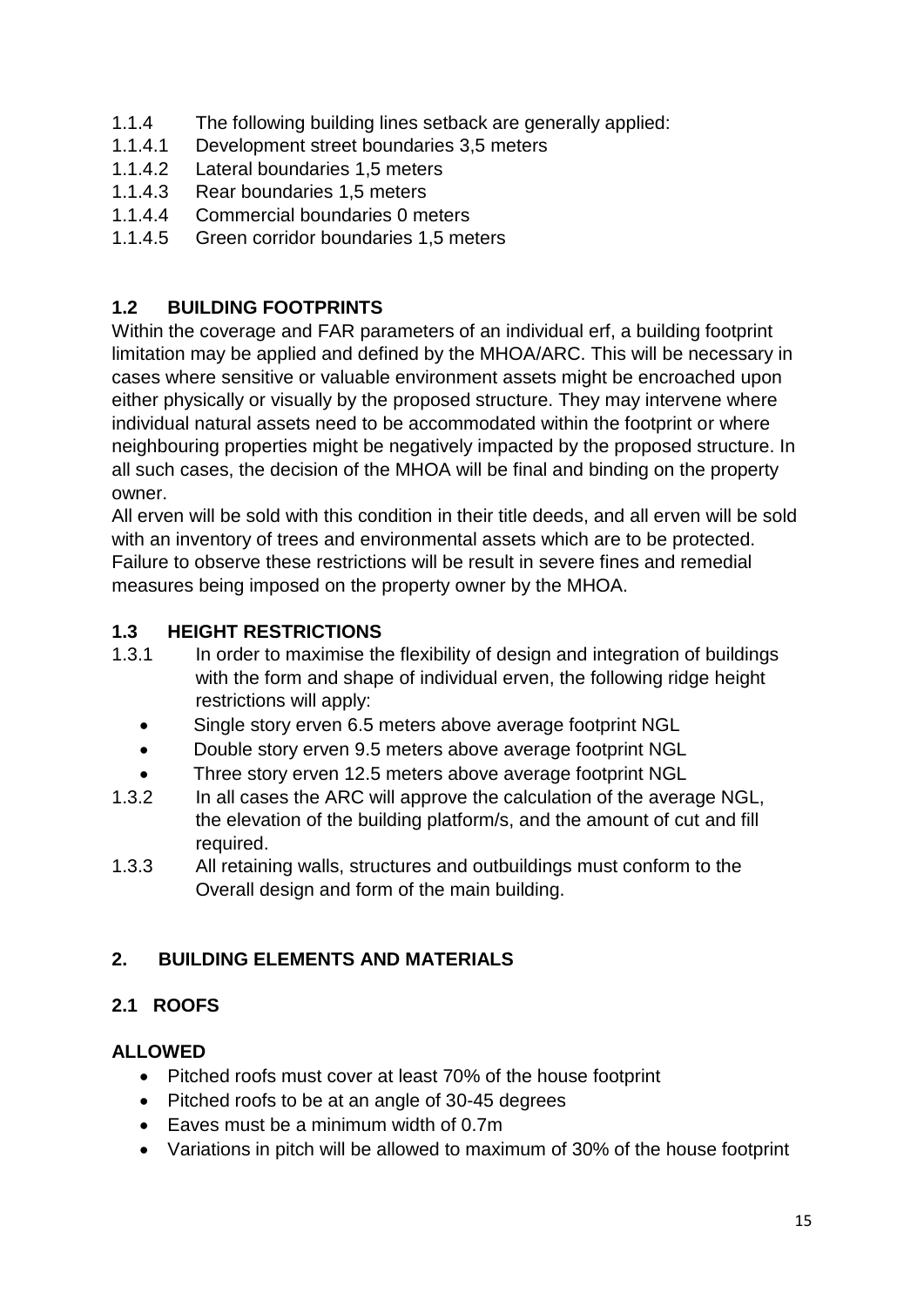- 1.1.4 The following building lines setback are generally applied:
- 1.1.4.1 Development street boundaries 3,5 meters
- 1.1.4.2 Lateral boundaries 1,5 meters
- 1.1.4.3 Rear boundaries 1,5 meters
- 1.1.4.4 Commercial boundaries 0 meters
- 1.1.4.5 Green corridor boundaries 1,5 meters

# **1.2 BUILDING FOOTPRINTS**

Within the coverage and FAR parameters of an individual erf, a building footprint limitation may be applied and defined by the MHOA/ARC. This will be necessary in cases where sensitive or valuable environment assets might be encroached upon either physically or visually by the proposed structure. They may intervene where individual natural assets need to be accommodated within the footprint or where neighbouring properties might be negatively impacted by the proposed structure. In all such cases, the decision of the MHOA will be final and binding on the property owner.

All erven will be sold with this condition in their title deeds, and all erven will be sold with an inventory of trees and environmental assets which are to be protected. Failure to observe these restrictions will be result in severe fines and remedial measures being imposed on the property owner by the MHOA.

#### **1.3 HEIGHT RESTRICTIONS**

- 1.3.1 In order to maximise the flexibility of design and integration of buildings with the form and shape of individual erven, the following ridge height restrictions will apply:
	- Single story erven 6.5 meters above average footprint NGL
	- Double story erven 9.5 meters above average footprint NGL
	- Three story erven 12.5 meters above average footprint NGL
- 1.3.2 In all cases the ARC will approve the calculation of the average NGL, the elevation of the building platform/s, and the amount of cut and fill required.
- 1.3.3 All retaining walls, structures and outbuildings must conform to the Overall design and form of the main building.

# **2. BUILDING ELEMENTS AND MATERIALS**

# **2.1 ROOFS**

# **ALLOWED**

- Pitched roofs must cover at least 70% of the house footprint
- Pitched roofs to be at an angle of 30-45 degrees
- Eaves must be a minimum width of 0.7m
- Variations in pitch will be allowed to maximum of 30% of the house footprint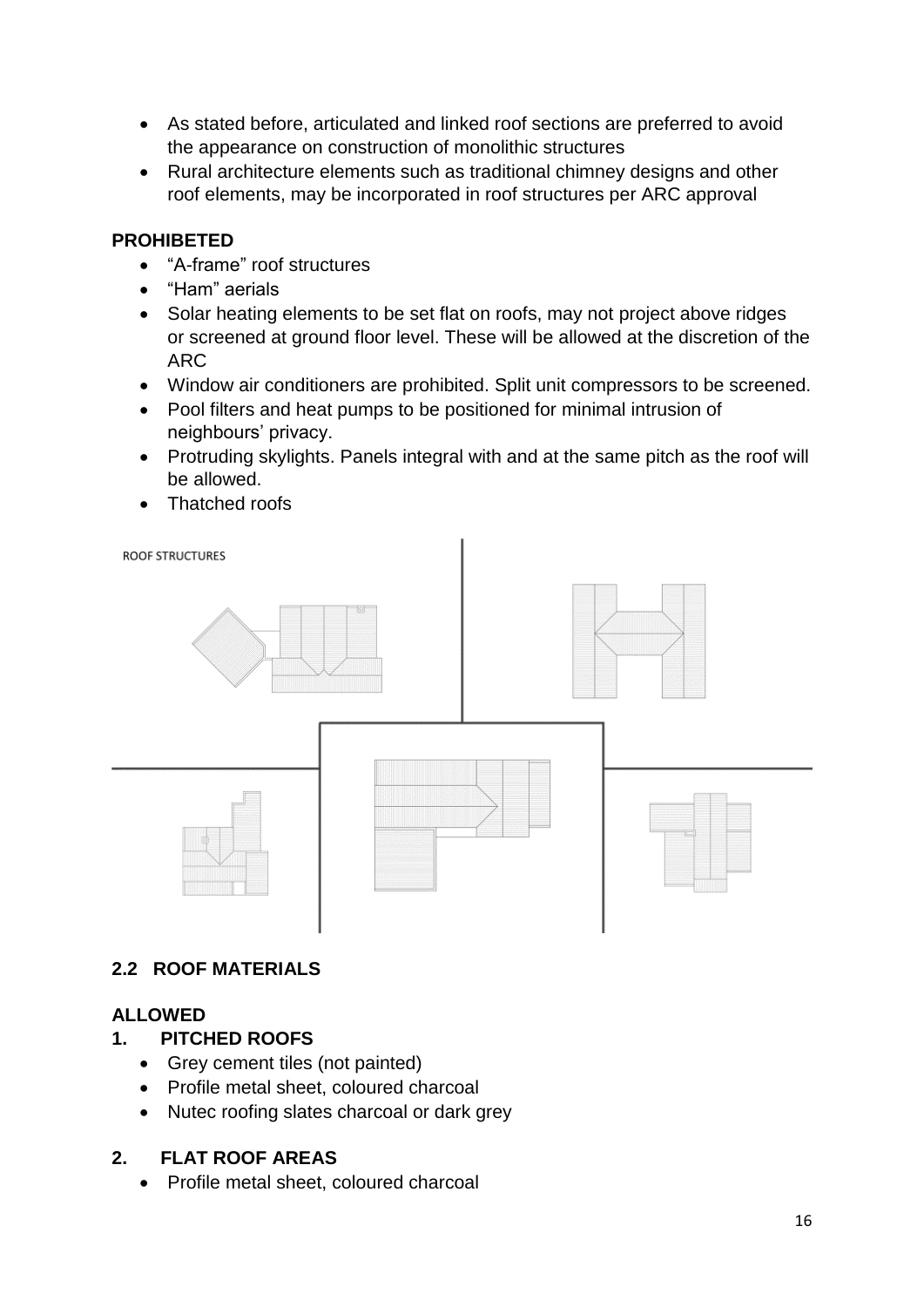- As stated before, articulated and linked roof sections are preferred to avoid the appearance on construction of monolithic structures
- Rural architecture elements such as traditional chimney designs and other roof elements, may be incorporated in roof structures per ARC approval

#### **PROHIBETED**

- "A-frame" roof structures
- "Ham" aerials
- Solar heating elements to be set flat on roofs, may not project above ridges or screened at ground floor level. These will be allowed at the discretion of the ARC
- Window air conditioners are prohibited. Split unit compressors to be screened.
- Pool filters and heat pumps to be positioned for minimal intrusion of neighbours' privacy.
- Protruding skylights. Panels integral with and at the same pitch as the roof will be allowed.
- Thatched roofs



#### **2.2 ROOF MATERIALS**

#### **ALLOWED**

#### **1. PITCHED ROOFS**

- Grey cement tiles (not painted)
- Profile metal sheet, coloured charcoal
- Nutec roofing slates charcoal or dark grey

#### **2. FLAT ROOF AREAS**

• Profile metal sheet, coloured charcoal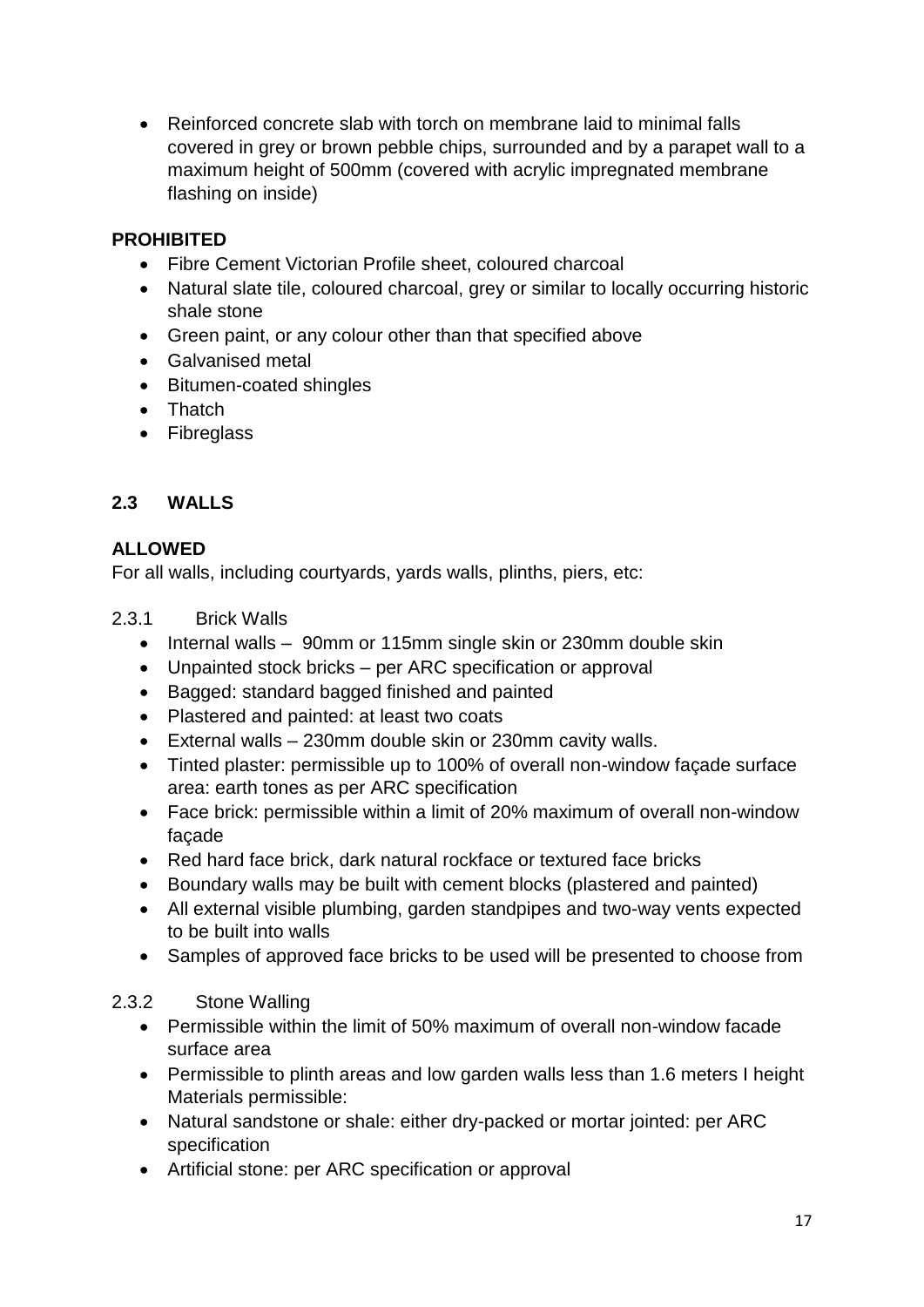• Reinforced concrete slab with torch on membrane laid to minimal falls covered in grey or brown pebble chips, surrounded and by a parapet wall to a maximum height of 500mm (covered with acrylic impregnated membrane flashing on inside)

#### **PROHIBITED**

- Fibre Cement Victorian Profile sheet, coloured charcoal
- Natural slate tile, coloured charcoal, grey or similar to locally occurring historic shale stone
- Green paint, or any colour other than that specified above
- Galvanised metal
- Bitumen-coated shingles
- Thatch
- Fibreglass

#### **2.3 WALLS**

#### **ALLOWED**

For all walls, including courtyards, yards walls, plinths, piers, etc:

- 2.3.1 Brick Walls
	- Internal walls 90mm or 115mm single skin or 230mm double skin
	- Unpainted stock bricks per ARC specification or approval
	- Bagged: standard bagged finished and painted
	- Plastered and painted: at least two coats
	- External walls 230mm double skin or 230mm cavity walls.
	- Tinted plaster: permissible up to 100% of overall non-window façade surface area: earth tones as per ARC specification
	- Face brick: permissible within a limit of 20% maximum of overall non-window façade
	- Red hard face brick, dark natural rockface or textured face bricks
	- Boundary walls may be built with cement blocks (plastered and painted)
	- All external visible plumbing, garden standpipes and two-way vents expected to be built into walls
	- Samples of approved face bricks to be used will be presented to choose from

#### 2.3.2 Stone Walling

- Permissible within the limit of 50% maximum of overall non-window facade surface area
- Permissible to plinth areas and low garden walls less than 1.6 meters I height Materials permissible:
- Natural sandstone or shale: either dry-packed or mortar jointed: per ARC specification
- Artificial stone: per ARC specification or approval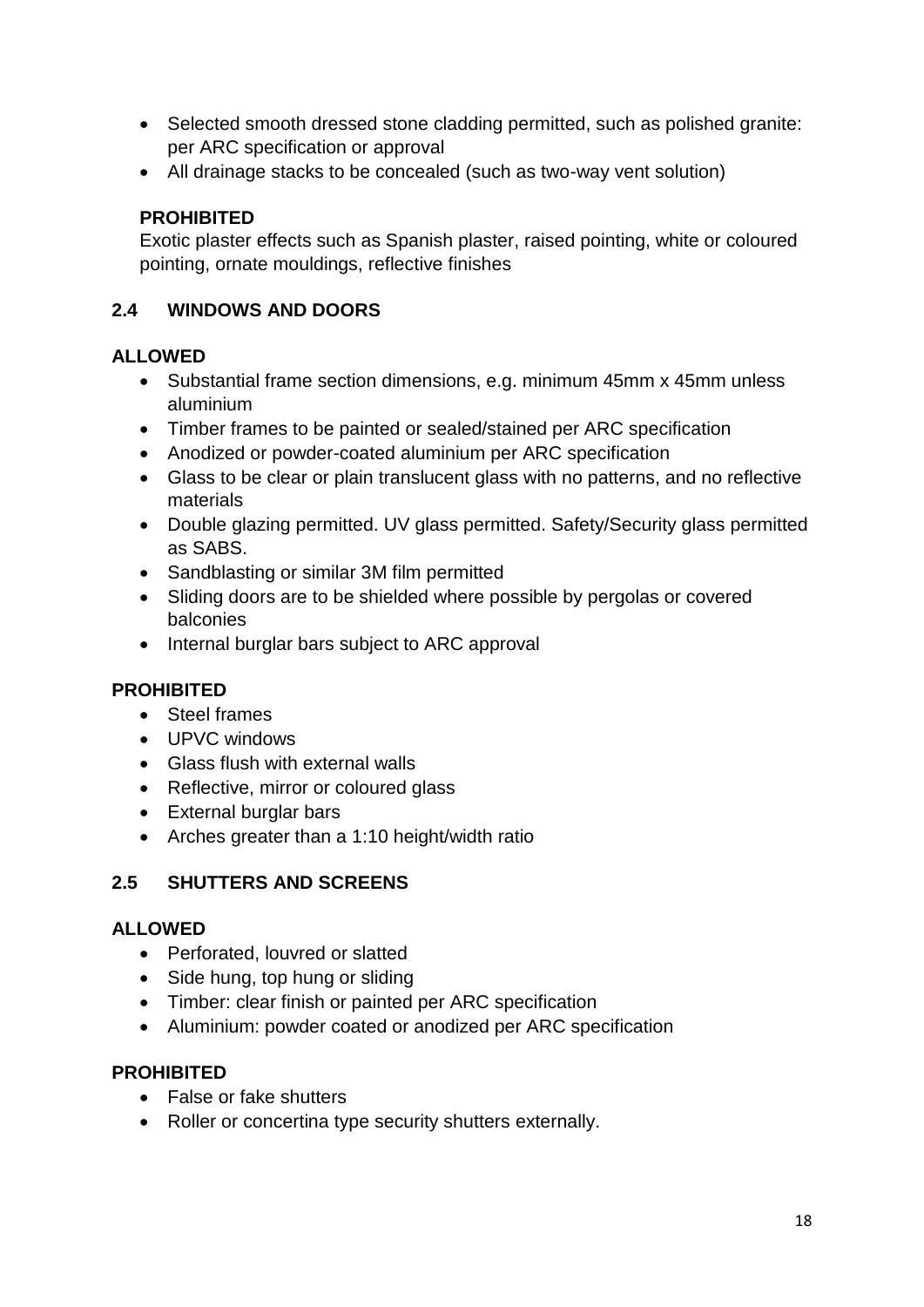- Selected smooth dressed stone cladding permitted, such as polished granite: per ARC specification or approval
- All drainage stacks to be concealed (such as two-way vent solution)

#### **PROHIBITED**

Exotic plaster effects such as Spanish plaster, raised pointing, white or coloured pointing, ornate mouldings, reflective finishes

#### **2.4 WINDOWS AND DOORS**

#### **ALLOWED**

- Substantial frame section dimensions, e.g. minimum 45mm x 45mm unless aluminium
- Timber frames to be painted or sealed/stained per ARC specification
- Anodized or powder-coated aluminium per ARC specification
- Glass to be clear or plain translucent glass with no patterns, and no reflective materials
- Double glazing permitted. UV glass permitted. Safety/Security glass permitted as SABS.
- Sandblasting or similar 3M film permitted
- Sliding doors are to be shielded where possible by pergolas or covered balconies
- Internal burglar bars subject to ARC approval

#### **PROHIBITED**

- Steel frames
- UPVC windows
- Glass flush with external walls
- Reflective, mirror or coloured glass
- External burglar bars
- Arches greater than a 1:10 height/width ratio

# **2.5 SHUTTERS AND SCREENS**

#### **ALLOWED**

- Perforated, louvred or slatted
- Side hung, top hung or sliding
- Timber: clear finish or painted per ARC specification
- Aluminium: powder coated or anodized per ARC specification

#### **PROHIBITED**

- False or fake shutters
- Roller or concertina type security shutters externally.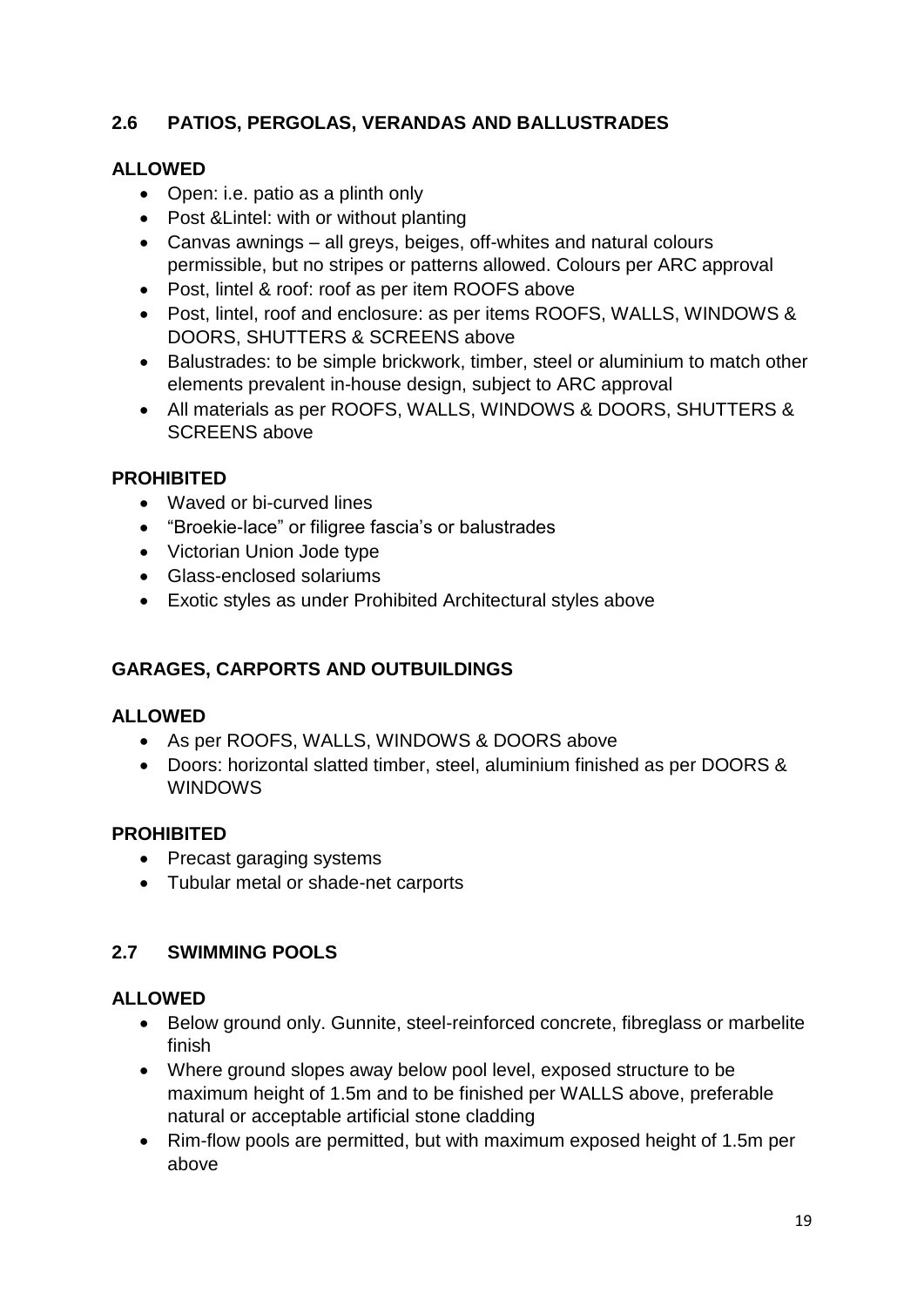# **2.6 PATIOS, PERGOLAS, VERANDAS AND BALLUSTRADES**

#### **ALLOWED**

- Open: i.e. patio as a plinth only
- Post &Lintel: with or without planting
- Canvas awnings all greys, beiges, off-whites and natural colours permissible, but no stripes or patterns allowed. Colours per ARC approval
- Post, lintel & roof: roof as per item ROOFS above
- Post, lintel, roof and enclosure: as per items ROOFS, WALLS, WINDOWS & DOORS, SHUTTERS & SCREENS above
- Balustrades: to be simple brickwork, timber, steel or aluminium to match other elements prevalent in-house design, subject to ARC approval
- All materials as per ROOFS, WALLS, WINDOWS & DOORS, SHUTTERS & SCREENS above

#### **PROHIBITED**

- Waved or bi-curved lines
- "Broekie-lace" or filigree fascia's or balustrades
- Victorian Union Jode type
- Glass-enclosed solariums
- Exotic styles as under Prohibited Architectural styles above

# **GARAGES, CARPORTS AND OUTBUILDINGS**

#### **ALLOWED**

- As per ROOFS, WALLS, WINDOWS & DOORS above
- Doors: horizontal slatted timber, steel, aluminium finished as per DOORS & WINDOWS

# **PROHIBITED**

- Precast garaging systems
- Tubular metal or shade-net carports

# **2.7 SWIMMING POOLS**

#### **ALLOWED**

- Below ground only. Gunnite, steel-reinforced concrete, fibreglass or marbelite finish
- Where ground slopes away below pool level, exposed structure to be maximum height of 1.5m and to be finished per WALLS above, preferable natural or acceptable artificial stone cladding
- Rim-flow pools are permitted, but with maximum exposed height of 1.5m per above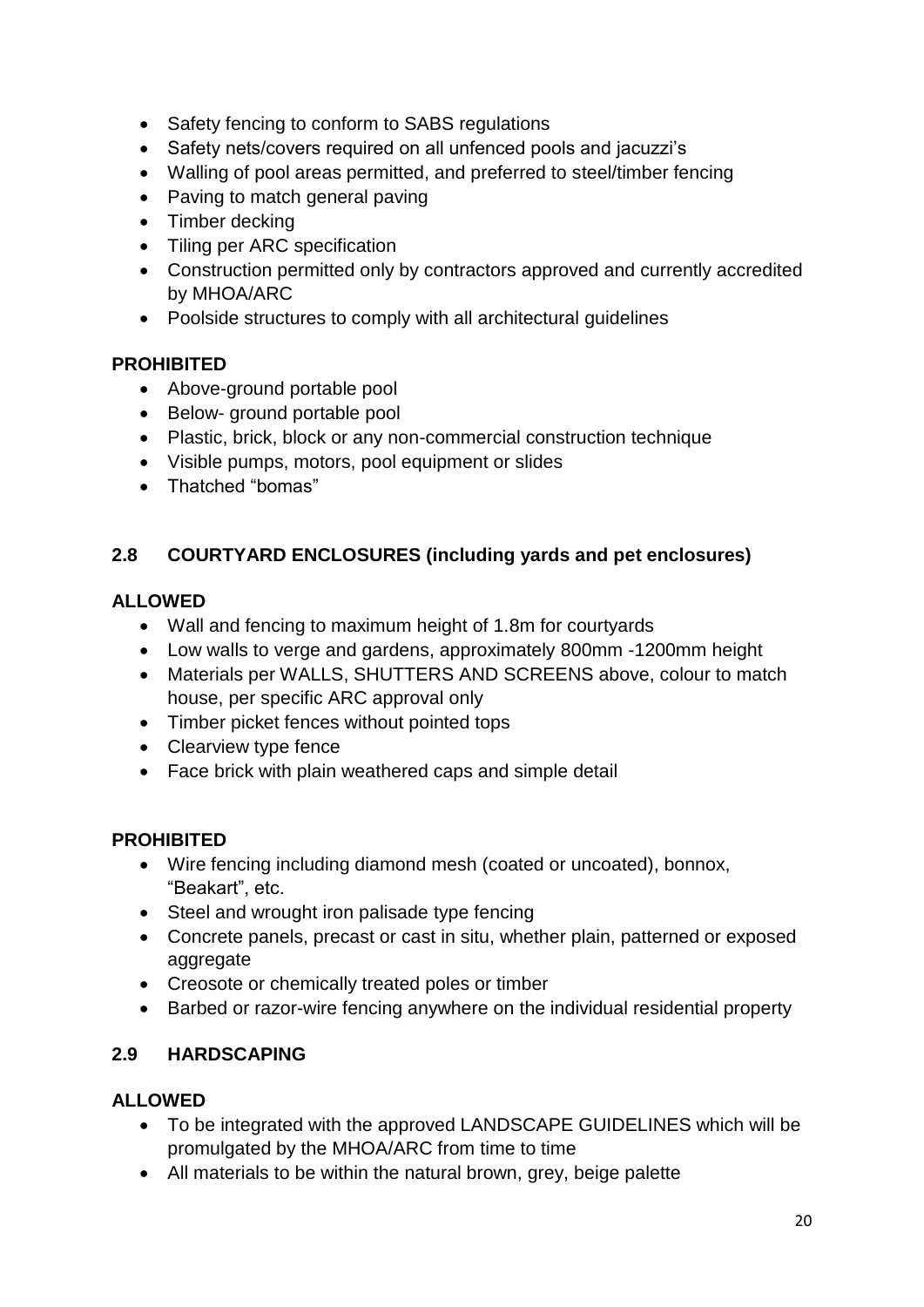- Safety fencing to conform to SABS regulations
- Safety nets/covers required on all unfenced pools and jacuzzi's
- Walling of pool areas permitted, and preferred to steel/timber fencing
- Paving to match general paving
- Timber decking
- Tiling per ARC specification
- Construction permitted only by contractors approved and currently accredited by MHOA/ARC
- Poolside structures to comply with all architectural guidelines

#### **PROHIBITED**

- Above-ground portable pool
- Below- ground portable pool
- Plastic, brick, block or any non-commercial construction technique
- Visible pumps, motors, pool equipment or slides
- Thatched "bomas"

#### **2.8 COURTYARD ENCLOSURES (including yards and pet enclosures)**

#### **ALLOWED**

- Wall and fencing to maximum height of 1.8m for courtyards
- Low walls to verge and gardens, approximately 800mm -1200mm height
- Materials per WALLS, SHUTTERS AND SCREENS above, colour to match house, per specific ARC approval only
- Timber picket fences without pointed tops
- Clearview type fence
- Face brick with plain weathered caps and simple detail

#### **PROHIBITED**

- Wire fencing including diamond mesh (coated or uncoated), bonnox, "Beakart", etc.
- Steel and wrought iron palisade type fencing
- Concrete panels, precast or cast in situ, whether plain, patterned or exposed aggregate
- Creosote or chemically treated poles or timber
- Barbed or razor-wire fencing anywhere on the individual residential property

# **2.9 HARDSCAPING**

#### **ALLOWED**

- To be integrated with the approved LANDSCAPE GUIDELINES which will be promulgated by the MHOA/ARC from time to time
- All materials to be within the natural brown, grey, beige palette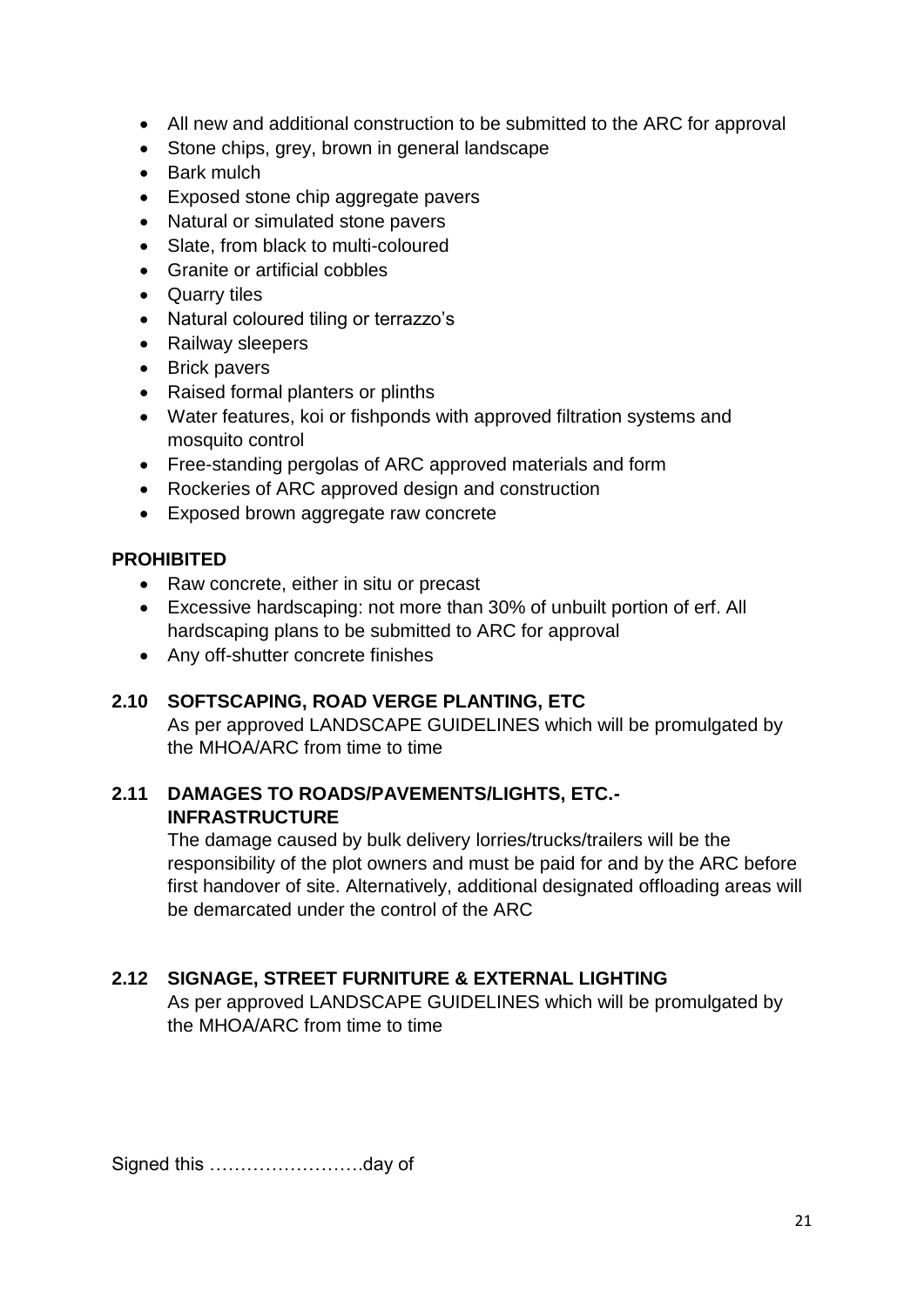- All new and additional construction to be submitted to the ARC for approval
- Stone chips, grey, brown in general landscape
- Bark mulch
- Exposed stone chip aggregate pavers
- Natural or simulated stone pavers
- Slate, from black to multi-coloured
- Granite or artificial cobbles
- Quarry tiles
- Natural coloured tiling or terrazzo's
- Railway sleepers
- Brick pavers
- Raised formal planters or plinths
- Water features, koi or fishponds with approved filtration systems and mosquito control
- Free-standing pergolas of ARC approved materials and form
- Rockeries of ARC approved design and construction
- Exposed brown aggregate raw concrete

# **PROHIBITED**

- Raw concrete, either in situ or precast
- Excessive hardscaping: not more than 30% of unbuilt portion of erf. All hardscaping plans to be submitted to ARC for approval
- Any off-shutter concrete finishes

# **2.10 SOFTSCAPING, ROAD VERGE PLANTING, ETC**

As per approved LANDSCAPE GUIDELINES which will be promulgated by the MHOA/ARC from time to time

#### **2.11 DAMAGES TO ROADS/PAVEMENTS/LIGHTS, ETC.- INFRASTRUCTURE**

The damage caused by bulk delivery lorries/trucks/trailers will be the responsibility of the plot owners and must be paid for and by the ARC before first handover of site. Alternatively, additional designated offloading areas will be demarcated under the control of the ARC

# **2.12 SIGNAGE, STREET FURNITURE & EXTERNAL LIGHTING**

As per approved LANDSCAPE GUIDELINES which will be promulgated by the MHOA/ARC from time to time

Signed this …………………….day of